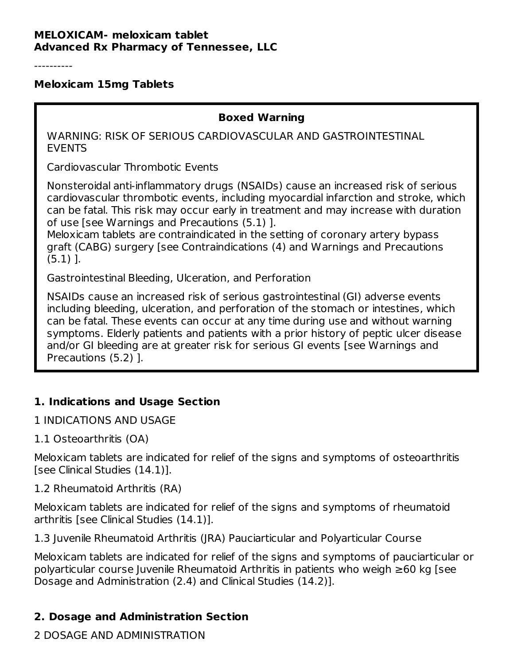#### **MELOXICAM- meloxicam tablet Advanced Rx Pharmacy of Tennessee, LLC**

----------

#### **Meloxicam 15mg Tablets**

#### **Boxed Warning**

WARNING: RISK OF SERIOUS CARDIOVASCULAR AND GASTROINTESTINAL EVENTS

Cardiovascular Thrombotic Events

Nonsteroidal anti-inflammatory drugs (NSAIDs) cause an increased risk of serious cardiovascular thrombotic events, including myocardial infarction and stroke, which can be fatal. This risk may occur early in treatment and may increase with duration of use [see Warnings and Precautions (5.1) ].

Meloxicam tablets are contraindicated in the setting of coronary artery bypass graft (CABG) surgery [see Contraindications (4) and Warnings and Precautions (5.1) ].

Gastrointestinal Bleeding, Ulceration, and Perforation

NSAIDs cause an increased risk of serious gastrointestinal (GI) adverse events including bleeding, ulceration, and perforation of the stomach or intestines, which can be fatal. These events can occur at any time during use and without warning symptoms. Elderly patients and patients with a prior history of peptic ulcer disease and/or GI bleeding are at greater risk for serious GI events [see Warnings and Precautions (5.2) ].

### **1. Indications and Usage Section**

1 INDICATIONS AND USAGE

1.1 Osteoarthritis (OA)

Meloxicam tablets are indicated for relief of the signs and symptoms of osteoarthritis [see Clinical Studies (14.1)].

#### 1.2 Rheumatoid Arthritis (RA)

Meloxicam tablets are indicated for relief of the signs and symptoms of rheumatoid arthritis [see Clinical Studies (14.1)].

1.3 Juvenile Rheumatoid Arthritis (JRA) Pauciarticular and Polyarticular Course

Meloxicam tablets are indicated for relief of the signs and symptoms of pauciarticular or polyarticular course Juvenile Rheumatoid Arthritis in patients who weigh ≥60 kg [see Dosage and Administration (2.4) and Clinical Studies (14.2)].

### **2. Dosage and Administration Section**

2 DOSAGE AND ADMINISTRATION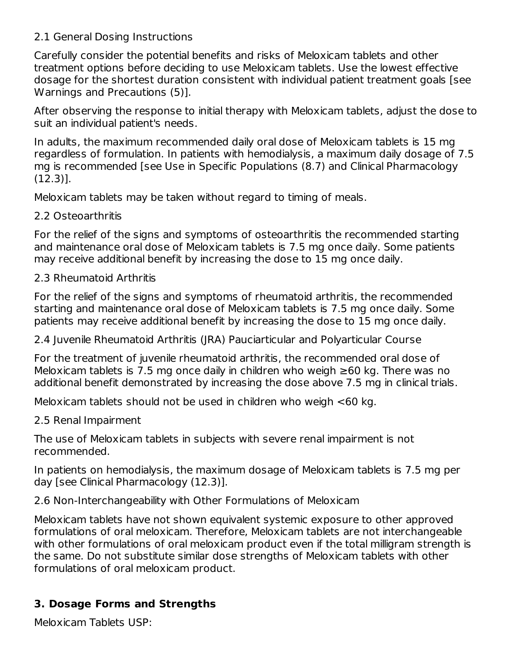### 2.1 General Dosing Instructions

Carefully consider the potential benefits and risks of Meloxicam tablets and other treatment options before deciding to use Meloxicam tablets. Use the lowest effective dosage for the shortest duration consistent with individual patient treatment goals [see Warnings and Precautions (5)].

After observing the response to initial therapy with Meloxicam tablets, adjust the dose to suit an individual patient's needs.

In adults, the maximum recommended daily oral dose of Meloxicam tablets is 15 mg regardless of formulation. In patients with hemodialysis, a maximum daily dosage of 7.5 mg is recommended [see Use in Specific Populations (8.7) and Clinical Pharmacology (12.3)].

Meloxicam tablets may be taken without regard to timing of meals.

### 2.2 Osteoarthritis

For the relief of the signs and symptoms of osteoarthritis the recommended starting and maintenance oral dose of Meloxicam tablets is 7.5 mg once daily. Some patients may receive additional benefit by increasing the dose to 15 mg once daily.

### 2.3 Rheumatoid Arthritis

For the relief of the signs and symptoms of rheumatoid arthritis, the recommended starting and maintenance oral dose of Meloxicam tablets is 7.5 mg once daily. Some patients may receive additional benefit by increasing the dose to 15 mg once daily.

2.4 Juvenile Rheumatoid Arthritis (JRA) Pauciarticular and Polyarticular Course

For the treatment of juvenile rheumatoid arthritis, the recommended oral dose of Meloxicam tablets is 7.5 mg once daily in children who weigh ≥60 kg. There was no additional benefit demonstrated by increasing the dose above 7.5 mg in clinical trials.

Meloxicam tablets should not be used in children who weigh <60 kg.

2.5 Renal Impairment

The use of Meloxicam tablets in subjects with severe renal impairment is not recommended.

In patients on hemodialysis, the maximum dosage of Meloxicam tablets is 7.5 mg per day [see Clinical Pharmacology (12.3)].

2.6 Non-Interchangeability with Other Formulations of Meloxicam

Meloxicam tablets have not shown equivalent systemic exposure to other approved formulations of oral meloxicam. Therefore, Meloxicam tablets are not interchangeable with other formulations of oral meloxicam product even if the total milligram strength is the same. Do not substitute similar dose strengths of Meloxicam tablets with other formulations of oral meloxicam product.

# **3. Dosage Forms and Strengths**

Meloxicam Tablets USP: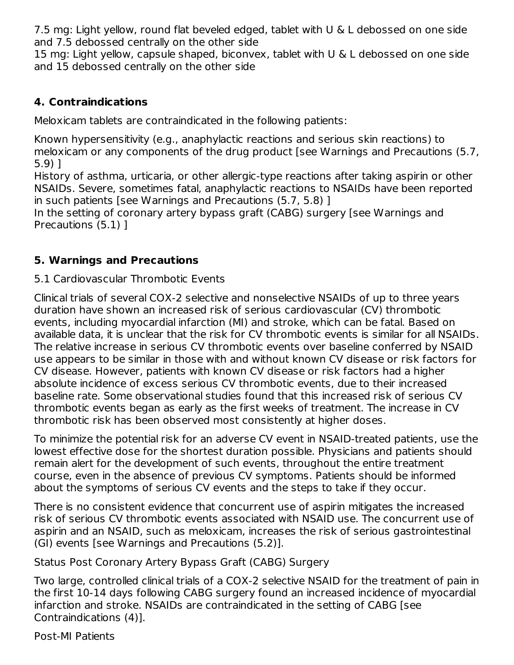7.5 mg: Light yellow, round flat beveled edged, tablet with U & L debossed on one side and 7.5 debossed centrally on the other side

15 mg: Light yellow, capsule shaped, biconvex, tablet with U & L debossed on one side and 15 debossed centrally on the other side

## **4. Contraindications**

Meloxicam tablets are contraindicated in the following patients:

Known hypersensitivity (e.g., anaphylactic reactions and serious skin reactions) to meloxicam or any components of the drug product [see Warnings and Precautions (5.7, 5.9) ]

History of asthma, urticaria, or other allergic-type reactions after taking aspirin or other NSAIDs. Severe, sometimes fatal, anaphylactic reactions to NSAIDs have been reported in such patients [see Warnings and Precautions (5.7, 5.8) ]

In the setting of coronary artery bypass graft (CABG) surgery [see Warnings and Precautions (5.1) ]

# **5. Warnings and Precautions**

### 5.1 Cardiovascular Thrombotic Events

Clinical trials of several COX-2 selective and nonselective NSAIDs of up to three years duration have shown an increased risk of serious cardiovascular (CV) thrombotic events, including myocardial infarction (MI) and stroke, which can be fatal. Based on available data, it is unclear that the risk for CV thrombotic events is similar for all NSAIDs. The relative increase in serious CV thrombotic events over baseline conferred by NSAID use appears to be similar in those with and without known CV disease or risk factors for CV disease. However, patients with known CV disease or risk factors had a higher absolute incidence of excess serious CV thrombotic events, due to their increased baseline rate. Some observational studies found that this increased risk of serious CV thrombotic events began as early as the first weeks of treatment. The increase in CV thrombotic risk has been observed most consistently at higher doses.

To minimize the potential risk for an adverse CV event in NSAID-treated patients, use the lowest effective dose for the shortest duration possible. Physicians and patients should remain alert for the development of such events, throughout the entire treatment course, even in the absence of previous CV symptoms. Patients should be informed about the symptoms of serious CV events and the steps to take if they occur.

There is no consistent evidence that concurrent use of aspirin mitigates the increased risk of serious CV thrombotic events associated with NSAID use. The concurrent use of aspirin and an NSAID, such as meloxicam, increases the risk of serious gastrointestinal (GI) events [see Warnings and Precautions (5.2)].

Status Post Coronary Artery Bypass Graft (CABG) Surgery

Two large, controlled clinical trials of a COX-2 selective NSAID for the treatment of pain in the first 10-14 days following CABG surgery found an increased incidence of myocardial infarction and stroke. NSAIDs are contraindicated in the setting of CABG [see Contraindications (4)].

Post-MI Patients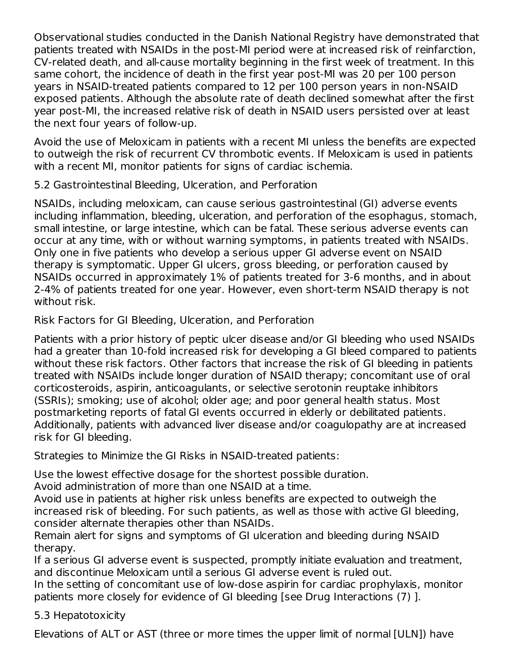Observational studies conducted in the Danish National Registry have demonstrated that patients treated with NSAIDs in the post-MI period were at increased risk of reinfarction, CV-related death, and all-cause mortality beginning in the first week of treatment. In this same cohort, the incidence of death in the first year post-MI was 20 per 100 person years in NSAID-treated patients compared to 12 per 100 person years in non-NSAID exposed patients. Although the absolute rate of death declined somewhat after the first year post-MI, the increased relative risk of death in NSAID users persisted over at least the next four years of follow-up.

Avoid the use of Meloxicam in patients with a recent MI unless the benefits are expected to outweigh the risk of recurrent CV thrombotic events. If Meloxicam is used in patients with a recent MI, monitor patients for signs of cardiac ischemia.

5.2 Gastrointestinal Bleeding, Ulceration, and Perforation

NSAIDs, including meloxicam, can cause serious gastrointestinal (GI) adverse events including inflammation, bleeding, ulceration, and perforation of the esophagus, stomach, small intestine, or large intestine, which can be fatal. These serious adverse events can occur at any time, with or without warning symptoms, in patients treated with NSAIDs. Only one in five patients who develop a serious upper GI adverse event on NSAID therapy is symptomatic. Upper GI ulcers, gross bleeding, or perforation caused by NSAIDs occurred in approximately 1% of patients treated for 3-6 months, and in about 2-4% of patients treated for one year. However, even short-term NSAID therapy is not without risk.

Risk Factors for GI Bleeding, Ulceration, and Perforation

Patients with a prior history of peptic ulcer disease and/or GI bleeding who used NSAIDs had a greater than 10-fold increased risk for developing a GI bleed compared to patients without these risk factors. Other factors that increase the risk of GI bleeding in patients treated with NSAIDs include longer duration of NSAID therapy; concomitant use of oral corticosteroids, aspirin, anticoagulants, or selective serotonin reuptake inhibitors (SSRIs); smoking; use of alcohol; older age; and poor general health status. Most postmarketing reports of fatal GI events occurred in elderly or debilitated patients. Additionally, patients with advanced liver disease and/or coagulopathy are at increased risk for GI bleeding.

Strategies to Minimize the GI Risks in NSAID-treated patients:

Use the lowest effective dosage for the shortest possible duration.

Avoid administration of more than one NSAID at a time.

Avoid use in patients at higher risk unless benefits are expected to outweigh the increased risk of bleeding. For such patients, as well as those with active GI bleeding, consider alternate therapies other than NSAIDs.

Remain alert for signs and symptoms of GI ulceration and bleeding during NSAID therapy.

If a serious GI adverse event is suspected, promptly initiate evaluation and treatment, and discontinue Meloxicam until a serious GI adverse event is ruled out.

In the setting of concomitant use of low-dose aspirin for cardiac prophylaxis, monitor patients more closely for evidence of GI bleeding [see Drug Interactions (7) ].

5.3 Hepatotoxicity

Elevations of ALT or AST (three or more times the upper limit of normal [ULN]) have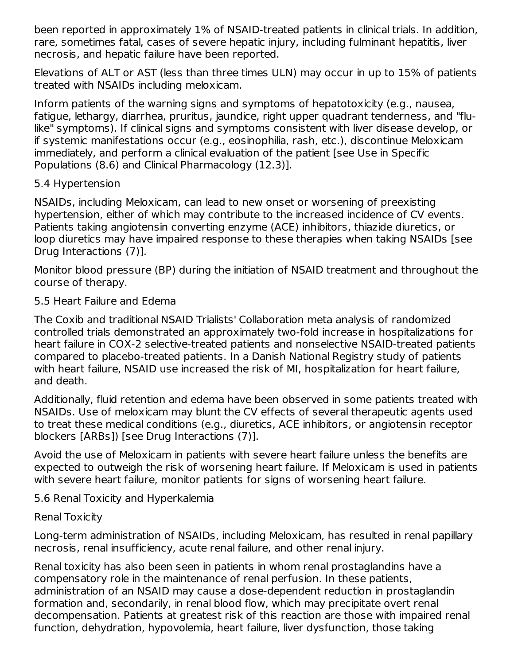been reported in approximately 1% of NSAID-treated patients in clinical trials. In addition, rare, sometimes fatal, cases of severe hepatic injury, including fulminant hepatitis, liver necrosis, and hepatic failure have been reported.

Elevations of ALT or AST (less than three times ULN) may occur in up to 15% of patients treated with NSAIDs including meloxicam.

Inform patients of the warning signs and symptoms of hepatotoxicity (e.g., nausea, fatigue, lethargy, diarrhea, pruritus, jaundice, right upper quadrant tenderness, and "flulike" symptoms). If clinical signs and symptoms consistent with liver disease develop, or if systemic manifestations occur (e.g., eosinophilia, rash, etc.), discontinue Meloxicam immediately, and perform a clinical evaluation of the patient [see Use in Specific Populations (8.6) and Clinical Pharmacology (12.3)].

#### 5.4 Hypertension

NSAIDs, including Meloxicam, can lead to new onset or worsening of preexisting hypertension, either of which may contribute to the increased incidence of CV events. Patients taking angiotensin converting enzyme (ACE) inhibitors, thiazide diuretics, or loop diuretics may have impaired response to these therapies when taking NSAIDs [see Drug Interactions (7)].

Monitor blood pressure (BP) during the initiation of NSAID treatment and throughout the course of therapy.

### 5.5 Heart Failure and Edema

The Coxib and traditional NSAID Trialists' Collaboration meta analysis of randomized controlled trials demonstrated an approximately two-fold increase in hospitalizations for heart failure in COX-2 selective-treated patients and nonselective NSAID-treated patients compared to placebo-treated patients. In a Danish National Registry study of patients with heart failure, NSAID use increased the risk of MI, hospitalization for heart failure, and death.

Additionally, fluid retention and edema have been observed in some patients treated with NSAIDs. Use of meloxicam may blunt the CV effects of several therapeutic agents used to treat these medical conditions (e.g., diuretics, ACE inhibitors, or angiotensin receptor blockers [ARBs]) [see Drug Interactions (7)].

Avoid the use of Meloxicam in patients with severe heart failure unless the benefits are expected to outweigh the risk of worsening heart failure. If Meloxicam is used in patients with severe heart failure, monitor patients for signs of worsening heart failure.

5.6 Renal Toxicity and Hyperkalemia

### Renal Toxicity

Long-term administration of NSAIDs, including Meloxicam, has resulted in renal papillary necrosis, renal insufficiency, acute renal failure, and other renal injury.

Renal toxicity has also been seen in patients in whom renal prostaglandins have a compensatory role in the maintenance of renal perfusion. In these patients, administration of an NSAID may cause a dose-dependent reduction in prostaglandin formation and, secondarily, in renal blood flow, which may precipitate overt renal decompensation. Patients at greatest risk of this reaction are those with impaired renal function, dehydration, hypovolemia, heart failure, liver dysfunction, those taking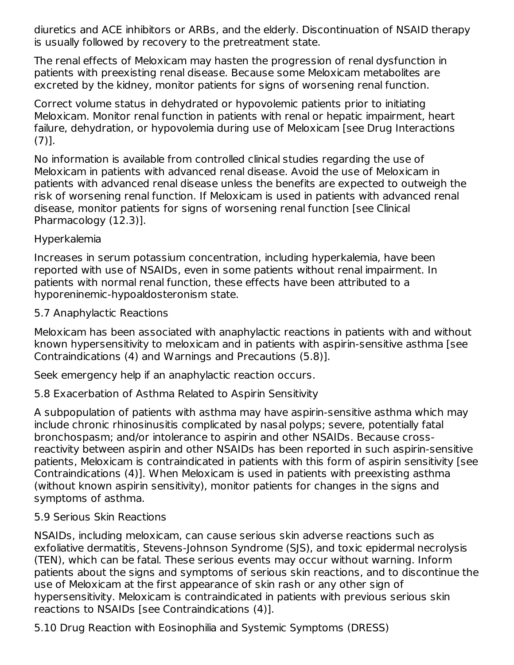diuretics and ACE inhibitors or ARBs, and the elderly. Discontinuation of NSAID therapy is usually followed by recovery to the pretreatment state.

The renal effects of Meloxicam may hasten the progression of renal dysfunction in patients with preexisting renal disease. Because some Meloxicam metabolites are excreted by the kidney, monitor patients for signs of worsening renal function.

Correct volume status in dehydrated or hypovolemic patients prior to initiating Meloxicam. Monitor renal function in patients with renal or hepatic impairment, heart failure, dehydration, or hypovolemia during use of Meloxicam [see Drug Interactions (7)].

No information is available from controlled clinical studies regarding the use of Meloxicam in patients with advanced renal disease. Avoid the use of Meloxicam in patients with advanced renal disease unless the benefits are expected to outweigh the risk of worsening renal function. If Meloxicam is used in patients with advanced renal disease, monitor patients for signs of worsening renal function [see Clinical Pharmacology (12.3)].

### Hyperkalemia

Increases in serum potassium concentration, including hyperkalemia, have been reported with use of NSAIDs, even in some patients without renal impairment. In patients with normal renal function, these effects have been attributed to a hyporeninemic-hypoaldosteronism state.

### 5.7 Anaphylactic Reactions

Meloxicam has been associated with anaphylactic reactions in patients with and without known hypersensitivity to meloxicam and in patients with aspirin-sensitive asthma [see Contraindications (4) and Warnings and Precautions (5.8)].

Seek emergency help if an anaphylactic reaction occurs.

## 5.8 Exacerbation of Asthma Related to Aspirin Sensitivity

A subpopulation of patients with asthma may have aspirin-sensitive asthma which may include chronic rhinosinusitis complicated by nasal polyps; severe, potentially fatal bronchospasm; and/or intolerance to aspirin and other NSAIDs. Because crossreactivity between aspirin and other NSAIDs has been reported in such aspirin-sensitive patients, Meloxicam is contraindicated in patients with this form of aspirin sensitivity [see Contraindications (4)]. When Meloxicam is used in patients with preexisting asthma (without known aspirin sensitivity), monitor patients for changes in the signs and symptoms of asthma.

### 5.9 Serious Skin Reactions

NSAIDs, including meloxicam, can cause serious skin adverse reactions such as exfoliative dermatitis, Stevens-Johnson Syndrome (SJS), and toxic epidermal necrolysis (TEN), which can be fatal. These serious events may occur without warning. Inform patients about the signs and symptoms of serious skin reactions, and to discontinue the use of Meloxicam at the first appearance of skin rash or any other sign of hypersensitivity. Meloxicam is contraindicated in patients with previous serious skin reactions to NSAIDs [see Contraindications (4)].

5.10 Drug Reaction with Eosinophilia and Systemic Symptoms (DRESS)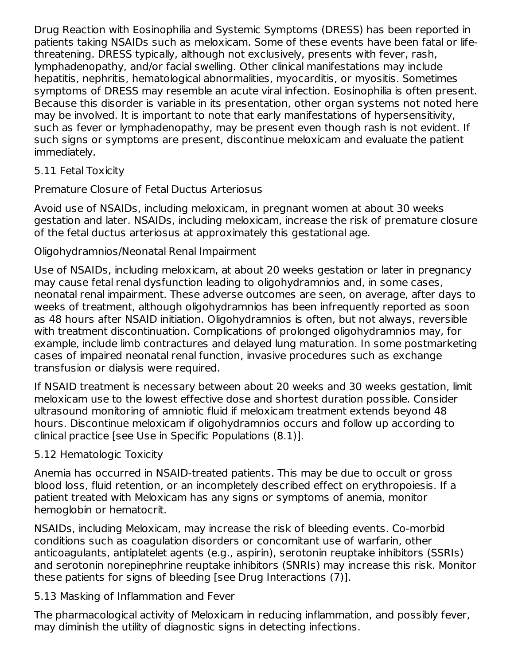Drug Reaction with Eosinophilia and Systemic Symptoms (DRESS) has been reported in patients taking NSAIDs such as meloxicam. Some of these events have been fatal or lifethreatening. DRESS typically, although not exclusively, presents with fever, rash, lymphadenopathy, and/or facial swelling. Other clinical manifestations may include hepatitis, nephritis, hematological abnormalities, myocarditis, or myositis. Sometimes symptoms of DRESS may resemble an acute viral infection. Eosinophilia is often present. Because this disorder is variable in its presentation, other organ systems not noted here may be involved. It is important to note that early manifestations of hypersensitivity, such as fever or lymphadenopathy, may be present even though rash is not evident. If such signs or symptoms are present, discontinue meloxicam and evaluate the patient immediately.

### 5.11 Fetal Toxicity

Premature Closure of Fetal Ductus Arteriosus

Avoid use of NSAIDs, including meloxicam, in pregnant women at about 30 weeks gestation and later. NSAIDs, including meloxicam, increase the risk of premature closure of the fetal ductus arteriosus at approximately this gestational age.

Oligohydramnios/Neonatal Renal Impairment

Use of NSAIDs, including meloxicam, at about 20 weeks gestation or later in pregnancy may cause fetal renal dysfunction leading to oligohydramnios and, in some cases, neonatal renal impairment. These adverse outcomes are seen, on average, after days to weeks of treatment, although oligohydramnios has been infrequently reported as soon as 48 hours after NSAID initiation. Oligohydramnios is often, but not always, reversible with treatment discontinuation. Complications of prolonged oligohydramnios may, for example, include limb contractures and delayed lung maturation. In some postmarketing cases of impaired neonatal renal function, invasive procedures such as exchange transfusion or dialysis were required.

If NSAID treatment is necessary between about 20 weeks and 30 weeks gestation, limit meloxicam use to the lowest effective dose and shortest duration possible. Consider ultrasound monitoring of amniotic fluid if meloxicam treatment extends beyond 48 hours. Discontinue meloxicam if oligohydramnios occurs and follow up according to clinical practice [see Use in Specific Populations (8.1)].

## 5.12 Hematologic Toxicity

Anemia has occurred in NSAID-treated patients. This may be due to occult or gross blood loss, fluid retention, or an incompletely described effect on erythropoiesis. If a patient treated with Meloxicam has any signs or symptoms of anemia, monitor hemoglobin or hematocrit.

NSAIDs, including Meloxicam, may increase the risk of bleeding events. Co-morbid conditions such as coagulation disorders or concomitant use of warfarin, other anticoagulants, antiplatelet agents (e.g., aspirin), serotonin reuptake inhibitors (SSRIs) and serotonin norepinephrine reuptake inhibitors (SNRIs) may increase this risk. Monitor these patients for signs of bleeding [see Drug Interactions (7)].

## 5.13 Masking of Inflammation and Fever

The pharmacological activity of Meloxicam in reducing inflammation, and possibly fever, may diminish the utility of diagnostic signs in detecting infections.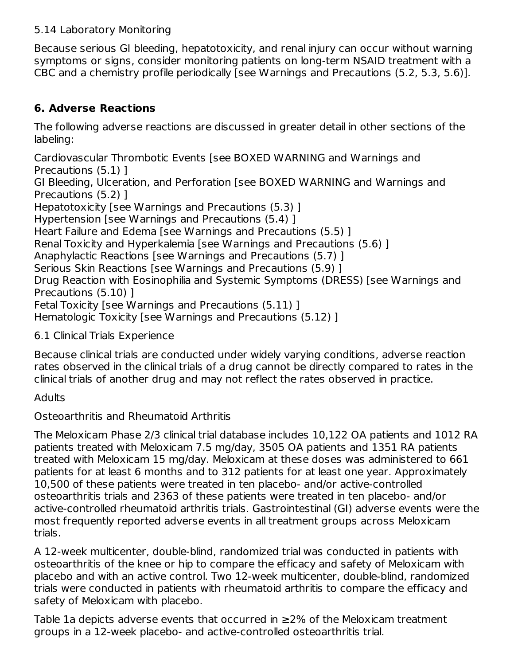### 5.14 Laboratory Monitoring

Because serious GI bleeding, hepatotoxicity, and renal injury can occur without warning symptoms or signs, consider monitoring patients on long-term NSAID treatment with a CBC and a chemistry profile periodically [see Warnings and Precautions (5.2, 5.3, 5.6)].

# **6. Adverse Reactions**

The following adverse reactions are discussed in greater detail in other sections of the labeling:

Cardiovascular Thrombotic Events [see BOXED WARNING and Warnings and Precautions (5.1) ]

GI Bleeding, Ulceration, and Perforation [see BOXED WARNING and Warnings and Precautions (5.2) ]

Hepatotoxicity [see Warnings and Precautions (5.3) ]

Hypertension [see Warnings and Precautions (5.4) ]

Heart Failure and Edema [see Warnings and Precautions (5.5) ]

Renal Toxicity and Hyperkalemia [see Warnings and Precautions (5.6) ]

Anaphylactic Reactions [see Warnings and Precautions (5.7) ]

Serious Skin Reactions [see Warnings and Precautions (5.9) ]

Drug Reaction with Eosinophilia and Systemic Symptoms (DRESS) [see Warnings and Precautions (5.10) ]

Fetal Toxicity [see Warnings and Precautions (5.11) ]

Hematologic Toxicity [see Warnings and Precautions (5.12) ]

6.1 Clinical Trials Experience

Because clinical trials are conducted under widely varying conditions, adverse reaction rates observed in the clinical trials of a drug cannot be directly compared to rates in the clinical trials of another drug and may not reflect the rates observed in practice.

**Adults** 

Osteoarthritis and Rheumatoid Arthritis

The Meloxicam Phase 2/3 clinical trial database includes 10,122 OA patients and 1012 RA patients treated with Meloxicam 7.5 mg/day, 3505 OA patients and 1351 RA patients treated with Meloxicam 15 mg/day. Meloxicam at these doses was administered to 661 patients for at least 6 months and to 312 patients for at least one year. Approximately 10,500 of these patients were treated in ten placebo- and/or active-controlled osteoarthritis trials and 2363 of these patients were treated in ten placebo- and/or active-controlled rheumatoid arthritis trials. Gastrointestinal (GI) adverse events were the most frequently reported adverse events in all treatment groups across Meloxicam trials.

A 12-week multicenter, double-blind, randomized trial was conducted in patients with osteoarthritis of the knee or hip to compare the efficacy and safety of Meloxicam with placebo and with an active control. Two 12-week multicenter, double-blind, randomized trials were conducted in patients with rheumatoid arthritis to compare the efficacy and safety of Meloxicam with placebo.

Table 1a depicts adverse events that occurred in ≥2% of the Meloxicam treatment groups in a 12-week placebo- and active-controlled osteoarthritis trial.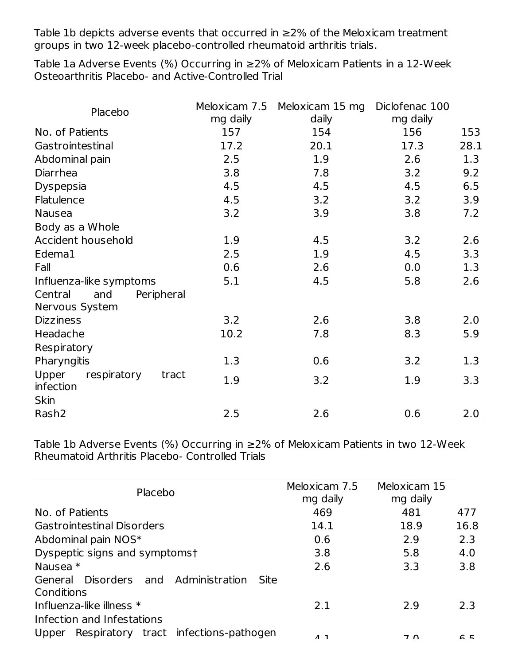Table 1b depicts adverse events that occurred in ≥2% of the Meloxicam treatment groups in two 12-week placebo-controlled rheumatoid arthritis trials.

Table 1a Adverse Events (%) Occurring in ≥2% of Meloxicam Patients in a 12-Week Osteoarthritis Placebo- and Active-Controlled Trial

|                                            | Meloxicam 7.5 | Meloxicam 15 mg | Diclofenac 100 |      |
|--------------------------------------------|---------------|-----------------|----------------|------|
| Placebo                                    |               |                 |                |      |
|                                            | mg daily      | daily           | mg daily       |      |
| No. of Patients                            | 157           | 154             | 156            | 153  |
| Gastrointestinal                           | 17.2          | 20.1            | 17.3           | 28.1 |
| Abdominal pain                             | 2.5           | 1.9             | 2.6            | 1.3  |
| Diarrhea                                   | 3.8           | 7.8             | 3.2            | 9.2  |
| <b>Dyspepsia</b>                           | 4.5           | 4.5             | 4.5            | 6.5  |
| Flatulence                                 | 4.5           | 3.2             | 3.2            | 3.9  |
| <b>Nausea</b>                              | 3.2           | 3.9             | 3.8            | 7.2  |
| Body as a Whole                            |               |                 |                |      |
| Accident household                         | 1.9           | 4.5             | 3.2            | 2.6  |
| Edema1                                     | 2.5           | 1.9             | 4.5            | 3.3  |
| Fall                                       | 0.6           | 2.6             | 0.0            | 1.3  |
| Influenza-like symptoms                    | 5.1           | 4.5             | 5.8            | 2.6  |
| Central<br>Peripheral<br>and               |               |                 |                |      |
| Nervous System                             |               |                 |                |      |
| <b>Dizziness</b>                           | 3.2           | 2.6             | 3.8            | 2.0  |
| Headache                                   | 10.2          | 7.8             | 8.3            | 5.9  |
| Respiratory                                |               |                 |                |      |
| Pharyngitis                                | 1.3           | 0.6             | 3.2            | 1.3  |
| Upper<br>respiratory<br>tract<br>infection | 1.9           | 3.2             | 1.9            | 3.3  |
| <b>Skin</b>                                |               |                 |                |      |
| Rash <sub>2</sub>                          | 2.5           | 2.6             | 0.6            | 2.0  |

Table 1b Adverse Events (%) Occurring in ≥2% of Meloxicam Patients in two 12-Week Rheumatoid Arthritis Placebo- Controlled Trials

| Placebo                                                       | Meloxicam 7.5<br>mg daily | Meloxicam 15<br>mg daily |      |
|---------------------------------------------------------------|---------------------------|--------------------------|------|
| No. of Patients                                               | 469                       | 481                      | 477  |
| <b>Gastrointestinal Disorders</b>                             | 14.1                      | 18.9                     | 16.8 |
| Abdominal pain NOS*                                           | 0.6                       | 2.9                      | 2.3  |
| Dyspeptic signs and symptomst                                 | 3.8                       | 5.8                      | 4.0  |
| Nausea $*$                                                    | 2.6                       | 3.3                      | 3.8  |
| Disorders and Administration<br>General<br>Site<br>Conditions |                           |                          |      |
| Influenza-like illness $*$<br>Infection and Infestations      | 2.1                       | 2.9                      | 2.3  |
| Respiratory tract infections-pathogen<br>Upper                | $\Lambda$ 1               | $7\,$ $\cap$             | C E  |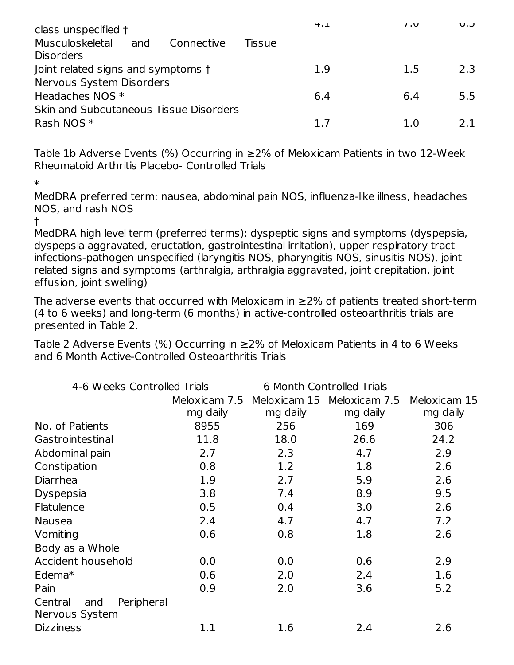| class unspecified †                                      | 4.1    | $\overline{1}$ . $\overline{U}$ | ∪.∪ |
|----------------------------------------------------------|--------|---------------------------------|-----|
| Musculoskeletal<br>and<br>Connective<br><b>Disorders</b> | Tissue |                                 |     |
| Joint related signs and symptoms t                       | 1.9    | 1.5                             | 2.3 |
| Nervous System Disorders                                 |        |                                 |     |
| Headaches NOS *                                          | 6.4    | 6.4                             | 5.5 |
| Skin and Subcutaneous Tissue Disorders                   |        |                                 |     |
| Rash NOS *                                               | 17     | 1 O                             | 21  |

Table 1b Adverse Events (%) Occurring in ≥2% of Meloxicam Patients in two 12-Week Rheumatoid Arthritis Placebo- Controlled Trials

\*

MedDRA preferred term: nausea, abdominal pain NOS, influenza-like illness, headaches NOS, and rash NOS

†

MedDRA high level term (preferred terms): dyspeptic signs and symptoms (dyspepsia, dyspepsia aggravated, eructation, gastrointestinal irritation), upper respiratory tract infections-pathogen unspecified (laryngitis NOS, pharyngitis NOS, sinusitis NOS), joint related signs and symptoms (arthralgia, arthralgia aggravated, joint crepitation, joint effusion, joint swelling)

The adverse events that occurred with Meloxicam in  $\geq$ 2% of patients treated short-term (4 to 6 weeks) and long-term (6 months) in active-controlled osteoarthritis trials are presented in Table 2.

Table 2 Adverse Events (%) Occurring in ≥2% of Meloxicam Patients in 4 to 6 Weeks and 6 Month Active-Controlled Osteoarthritis Trials

| 4-6 Weeks Controlled Trials                    |               | 6 Month Controlled Trials |                            |              |  |  |
|------------------------------------------------|---------------|---------------------------|----------------------------|--------------|--|--|
|                                                | Meloxicam 7.5 |                           | Meloxicam 15 Meloxicam 7.5 | Meloxicam 15 |  |  |
|                                                | mg daily      | mg daily                  | mg daily                   | mg daily     |  |  |
| No. of Patients                                | 8955          | 256                       | 169                        | 306          |  |  |
| Gastrointestinal                               | 11.8          | 18.0                      | 26.6                       | 24.2         |  |  |
| Abdominal pain                                 | 2.7           | 2.3                       | 4.7                        | 2.9          |  |  |
| Constipation                                   | 0.8           | 1.2                       | 1.8                        | 2.6          |  |  |
| Diarrhea                                       | 1.9           | 2.7                       | 5.9                        | 2.6          |  |  |
| <b>Dyspepsia</b>                               | 3.8           | 7.4                       | 8.9                        | 9.5          |  |  |
| Flatulence                                     | 0.5           | 0.4                       | 3.0                        | 2.6          |  |  |
| <b>Nausea</b>                                  | 2.4           | 4.7                       | 4.7                        | 7.2          |  |  |
| Vomiting                                       | 0.6           | 0.8                       | 1.8                        | 2.6          |  |  |
| Body as a Whole                                |               |                           |                            |              |  |  |
| Accident household                             | 0.0           | 0.0                       | 0.6                        | 2.9          |  |  |
| Edema $*$                                      | 0.6           | 2.0                       | 2.4                        | 1.6          |  |  |
| Pain                                           | 0.9           | 2.0                       | 3.6                        | 5.2          |  |  |
| Peripheral<br>Central<br>and<br>Nervous System |               |                           |                            |              |  |  |
| <b>Dizziness</b>                               | 1.1           | 1.6                       | 2.4                        | 2.6          |  |  |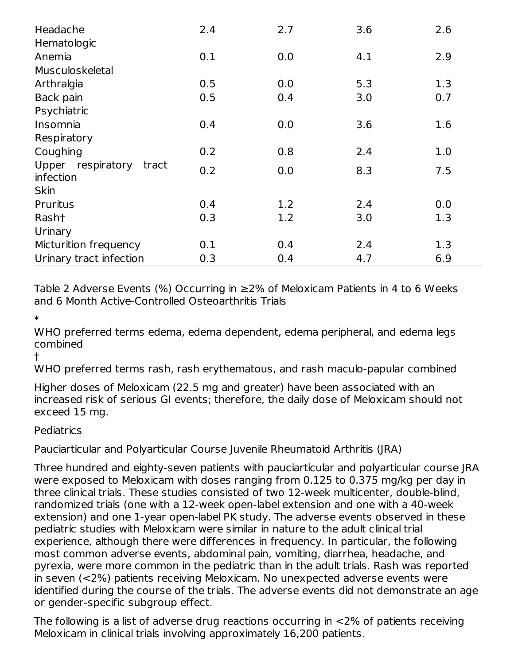| Headache<br>Hematologic                 | 2.4 | 2.7 | 3.6 | 2.6 |
|-----------------------------------------|-----|-----|-----|-----|
| Anemia                                  | 0.1 | 0.0 | 4.1 | 2.9 |
| Musculoskeletal                         |     |     |     |     |
| Arthralgia                              | 0.5 | 0.0 | 5.3 | 1.3 |
| Back pain                               | 0.5 | 0.4 | 3.0 | 0.7 |
| Psychiatric                             |     |     |     |     |
| Insomnia                                | 0.4 | 0.0 | 3.6 | 1.6 |
| Respiratory                             |     |     |     |     |
| Coughing                                | 0.2 | 0.8 | 2.4 | 1.0 |
| Upper respiratory<br>tract<br>infection | 0.2 | 0.0 | 8.3 | 7.5 |
| <b>Skin</b>                             |     |     |     |     |
| Pruritus                                | 0.4 | 1.2 | 2.4 | 0.0 |
| Rash†                                   | 0.3 | 1.2 | 3.0 | 1.3 |
| Urinary                                 |     |     |     |     |
| Micturition frequency                   | 0.1 | 0.4 | 2.4 | 1.3 |
| Urinary tract infection                 | 0.3 | 0.4 | 4.7 | 6.9 |

Table 2 Adverse Events (%) Occurring in ≥2% of Meloxicam Patients in 4 to 6 Weeks and 6 Month Active-Controlled Osteoarthritis Trials

\*

WHO preferred terms edema, edema dependent, edema peripheral, and edema legs combined

†

WHO preferred terms rash, rash erythematous, and rash maculo-papular combined

Higher doses of Meloxicam (22.5 mg and greater) have been associated with an increased risk of serious GI events; therefore, the daily dose of Meloxicam should not exceed 15 mg.

**Pediatrics** 

Pauciarticular and Polyarticular Course Juvenile Rheumatoid Arthritis (JRA)

Three hundred and eighty-seven patients with pauciarticular and polyarticular course JRA were exposed to Meloxicam with doses ranging from 0.125 to 0.375 mg/kg per day in three clinical trials. These studies consisted of two 12-week multicenter, double-blind, randomized trials (one with a 12-week open-label extension and one with a 40-week extension) and one 1-year open-label PK study. The adverse events observed in these pediatric studies with Meloxicam were similar in nature to the adult clinical trial experience, although there were differences in frequency. In particular, the following most common adverse events, abdominal pain, vomiting, diarrhea, headache, and pyrexia, were more common in the pediatric than in the adult trials. Rash was reported in seven (<2%) patients receiving Meloxicam. No unexpected adverse events were identified during the course of the trials. The adverse events did not demonstrate an age or gender-specific subgroup effect.

The following is a list of adverse drug reactions occurring in <2% of patients receiving Meloxicam in clinical trials involving approximately 16,200 patients.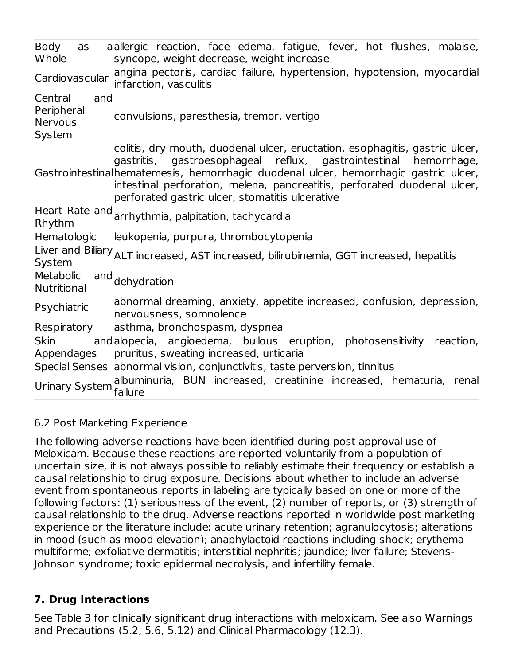Body as **Whole** allergic reaction, face edema, fatigue, fever, hot flushes, malaise, syncope, weight decrease, weight increase Cardiovascular angina pectoris, cardiac failure, hypertension, hypotension, myocardial infarction, vasculitis Central and Peripheral Nervous System convulsions, paresthesia, tremor, vertigo Gastrointestinal hematemesis, hemorrhagic duodenal ulcer, hemorrhagic gastric ulcer, colitis, dry mouth, duodenal ulcer, eructation, esophagitis, gastric ulcer, gastritis, gastroesophageal reflux, gastrointestinal hemorrhage, intestinal perforation, melena, pancreatitis, perforated duodenal ulcer, perforated gastric ulcer, stomatitis ulcerative Heart Rate and Rhythm arrhythmia, palpitation, tachycardia Hematologic leukopenia, purpura, thrombocytopenia Liver and Biliary ALT increased, AST increased, bilirubinemia, GGT increased, hepatitis System **Metabolic Nutritional** and dehydration Psychiatric abnormal dreaming, anxiety, appetite increased, confusion, depression, nervousness, somnolence Respiratory asthma, bronchospasm, dyspnea Skin and alopecia, angioedema, bullous eruption, photosensitivity reaction, Appendages pruritus, sweating increased, urticaria Special Senses abnormal vision, conjunctivitis, taste perversion, tinnitus Urinary System albuminuria, BUN increased, creatinine increased, hematuria, renal failure

### 6.2 Post Marketing Experience

The following adverse reactions have been identified during post approval use of Meloxicam. Because these reactions are reported voluntarily from a population of uncertain size, it is not always possible to reliably estimate their frequency or establish a causal relationship to drug exposure. Decisions about whether to include an adverse event from spontaneous reports in labeling are typically based on one or more of the following factors: (1) seriousness of the event, (2) number of reports, or (3) strength of causal relationship to the drug. Adverse reactions reported in worldwide post marketing experience or the literature include: acute urinary retention; agranulocytosis; alterations in mood (such as mood elevation); anaphylactoid reactions including shock; erythema multiforme; exfoliative dermatitis; interstitial nephritis; jaundice; liver failure; Stevens-Johnson syndrome; toxic epidermal necrolysis, and infertility female.

### **7. Drug Interactions**

See Table 3 for clinically significant drug interactions with meloxicam. See also Warnings and Precautions (5.2, 5.6, 5.12) and Clinical Pharmacology (12.3).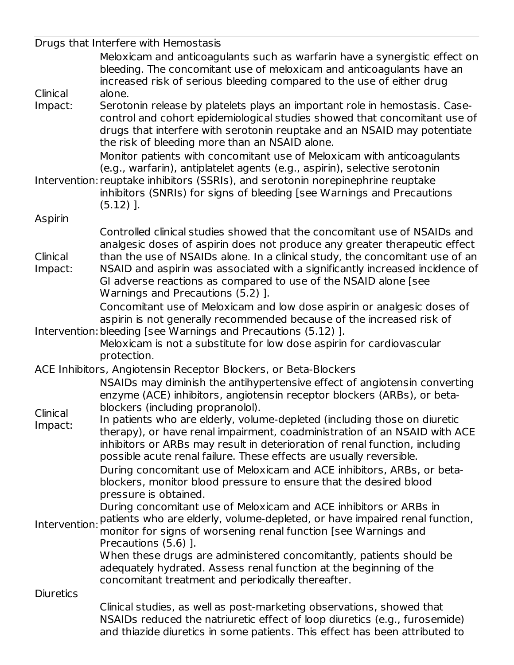|                     | Drugs that Interfere with Hemostasis                                                                                                                                                                                                                                                                                                                                                                                                                                                                                                                      |
|---------------------|-----------------------------------------------------------------------------------------------------------------------------------------------------------------------------------------------------------------------------------------------------------------------------------------------------------------------------------------------------------------------------------------------------------------------------------------------------------------------------------------------------------------------------------------------------------|
|                     | Meloxicam and anticoagulants such as warfarin have a synergistic effect on<br>bleeding. The concomitant use of meloxicam and anticoagulants have an<br>increased risk of serious bleeding compared to the use of either drug                                                                                                                                                                                                                                                                                                                              |
| Clinical            | alone.                                                                                                                                                                                                                                                                                                                                                                                                                                                                                                                                                    |
| Impact:             | Serotonin release by platelets plays an important role in hemostasis. Case-<br>control and cohort epidemiological studies showed that concomitant use of<br>drugs that interfere with serotonin reuptake and an NSAID may potentiate<br>the risk of bleeding more than an NSAID alone.<br>Monitor patients with concomitant use of Meloxicam with anticoagulants                                                                                                                                                                                          |
|                     | (e.g., warfarin), antiplatelet agents (e.g., aspirin), selective serotonin<br>Intervention: reuptake inhibitors (SSRIs), and serotonin norepinephrine reuptake<br>inhibitors (SNRIs) for signs of bleeding [see Warnings and Precautions<br>$(5.12)$ ].                                                                                                                                                                                                                                                                                                   |
| Aspirin             |                                                                                                                                                                                                                                                                                                                                                                                                                                                                                                                                                           |
| Clinical<br>Impact: | Controlled clinical studies showed that the concomitant use of NSAIDs and<br>analgesic doses of aspirin does not produce any greater therapeutic effect<br>than the use of NSAIDs alone. In a clinical study, the concomitant use of an<br>NSAID and aspirin was associated with a significantly increased incidence of<br>GI adverse reactions as compared to use of the NSAID alone [see<br>Warnings and Precautions (5.2) ].                                                                                                                           |
|                     | Concomitant use of Meloxicam and low dose aspirin or analgesic doses of<br>aspirin is not generally recommended because of the increased risk of<br>Intervention: bleeding [see Warnings and Precautions (5.12) ].<br>Meloxicam is not a substitute for low dose aspirin for cardiovascular                                                                                                                                                                                                                                                               |
|                     | protection.                                                                                                                                                                                                                                                                                                                                                                                                                                                                                                                                               |
|                     | ACE Inhibitors, Angiotensin Receptor Blockers, or Beta-Blockers                                                                                                                                                                                                                                                                                                                                                                                                                                                                                           |
|                     | NSAIDs may diminish the antihypertensive effect of angiotensin converting<br>enzyme (ACE) inhibitors, angiotensin receptor blockers (ARBs), or beta-<br>blockers (including propranolol).                                                                                                                                                                                                                                                                                                                                                                 |
| Clinical<br>Impact: | In patients who are elderly, volume-depleted (including those on diuretic<br>therapy), or have renal impairment, coadministration of an NSAID with ACE<br>inhibitors or ARBs may result in deterioration of renal function, including<br>possible acute renal failure. These effects are usually reversible.<br>During concomitant use of Meloxicam and ACE inhibitors, ARBs, or beta-<br>blockers, monitor blood pressure to ensure that the desired blood<br>pressure is obtained.<br>During concomitant use of Meloxicam and ACE inhibitors or ARBs in |
| Intervention:       | patients who are elderly, volume-depleted, or have impaired renal function,<br>monitor for signs of worsening renal function [see Warnings and<br>Precautions (5.6) ].                                                                                                                                                                                                                                                                                                                                                                                    |
|                     | When these drugs are administered concomitantly, patients should be<br>adequately hydrated. Assess renal function at the beginning of the<br>concomitant treatment and periodically thereafter.                                                                                                                                                                                                                                                                                                                                                           |
| <b>Diuretics</b>    |                                                                                                                                                                                                                                                                                                                                                                                                                                                                                                                                                           |
|                     | Clinical studies, as well as post-marketing observations, showed that<br>NSAIDs reduced the natriuretic effect of loop diuretics (e.g., furosemide)<br>and thiazide diuretics in some patients. This effect has been attributed to                                                                                                                                                                                                                                                                                                                        |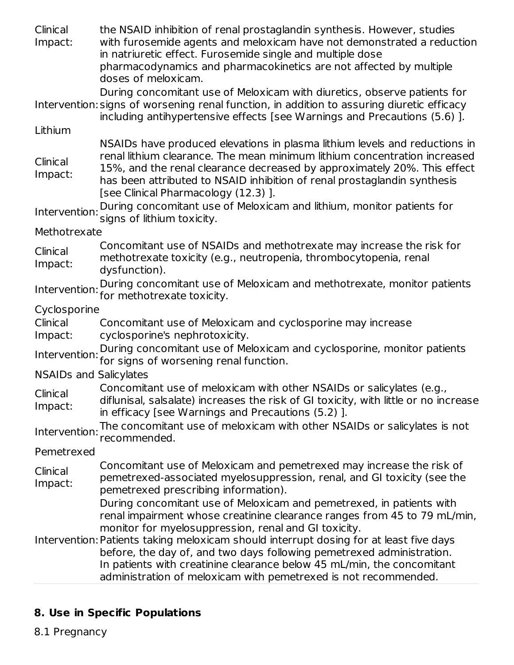Clinical Impact: the NSAID inhibition of renal prostaglandin synthesis. However, studies with furosemide agents and meloxicam have not demonstrated a reduction in natriuretic effect. Furosemide single and multiple dose pharmacodynamics and pharmacokinetics are not affected by multiple doses of meloxicam.

Intervention: signs of worsening renal function, in addition to assuring diuretic efficacy During concomitant use of Meloxicam with diuretics, observe patients for including antihypertensive effects [see Warnings and Precautions (5.6) ].

Lithium

NSAIDs have produced elevations in plasma lithium levels and reductions in renal lithium clearance. The mean minimum lithium concentration increased

Clinical Impact: 15%, and the renal clearance decreased by approximately 20%. This effect has been attributed to NSAID inhibition of renal prostaglandin synthesis [see Clinical Pharmacology (12.3) ].

Intervention: During concomitant use of Meloxicam and lithium, monitor patients for signs of lithium toxicity.

**Methotrexate** 

Clinical Impact: Concomitant use of NSAIDs and methotrexate may increase the risk for methotrexate toxicity (e.g., neutropenia, thrombocytopenia, renal dysfunction).

Intervention: During concomitant use of Meloxicam and methotrexate, monitor patients for methotrexate toxicity.

Cyclosporine

Clinical Impact: Concomitant use of Meloxicam and cyclosporine may increase cyclosporine's nephrotoxicity.

Intervention: for signs of worsening renal function. During concomitant use of Meloxicam and cyclosporine, monitor patients

NSAIDs and Salicylates

Clinical Concomitant use of meloxicam with other NSAIDs or salicylates (e.g.,

Impact: diflunisal, salsalate) increases the risk of GI toxicity, with little or no increase in efficacy [see Warnings and Precautions (5.2) ].

Intervention: The concomitant use of meloxicam with other NSAIDs or salicylates is not recommended.

Pemetrexed

**Clinical** Impact: Concomitant use of Meloxicam and pemetrexed may increase the risk of pemetrexed-associated myelosuppression, renal, and GI toxicity (see the pemetrexed prescribing information).

During concomitant use of Meloxicam and pemetrexed, in patients with renal impairment whose creatinine clearance ranges from 45 to 79 mL/min, monitor for myelosuppression, renal and GI toxicity.

Intervention: Patients taking meloxicam should interrupt dosing for at least five days before, the day of, and two days following pemetrexed administration. In patients with creatinine clearance below 45 mL/min, the concomitant administration of meloxicam with pemetrexed is not recommended.

# **8. Use in Specific Populations**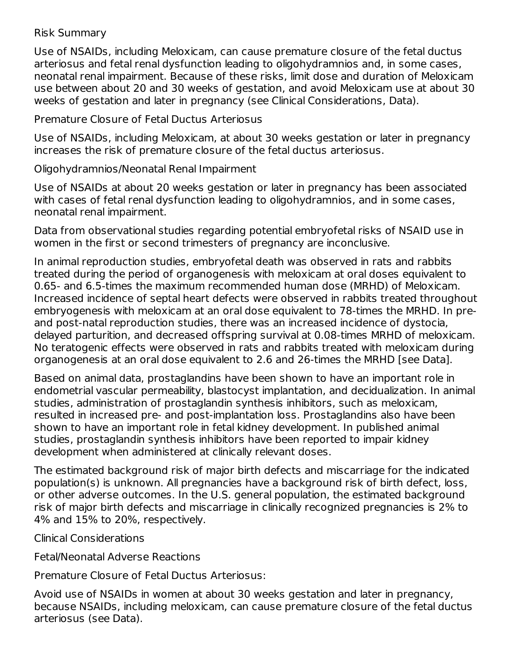#### Risk Summary

Use of NSAIDs, including Meloxicam, can cause premature closure of the fetal ductus arteriosus and fetal renal dysfunction leading to oligohydramnios and, in some cases, neonatal renal impairment. Because of these risks, limit dose and duration of Meloxicam use between about 20 and 30 weeks of gestation, and avoid Meloxicam use at about 30 weeks of gestation and later in pregnancy (see Clinical Considerations, Data).

Premature Closure of Fetal Ductus Arteriosus

Use of NSAIDs, including Meloxicam, at about 30 weeks gestation or later in pregnancy increases the risk of premature closure of the fetal ductus arteriosus.

Oligohydramnios/Neonatal Renal Impairment

Use of NSAIDs at about 20 weeks gestation or later in pregnancy has been associated with cases of fetal renal dysfunction leading to oligohydramnios, and in some cases, neonatal renal impairment.

Data from observational studies regarding potential embryofetal risks of NSAID use in women in the first or second trimesters of pregnancy are inconclusive.

In animal reproduction studies, embryofetal death was observed in rats and rabbits treated during the period of organogenesis with meloxicam at oral doses equivalent to 0.65- and 6.5-times the maximum recommended human dose (MRHD) of Meloxicam. Increased incidence of septal heart defects were observed in rabbits treated throughout embryogenesis with meloxicam at an oral dose equivalent to 78-times the MRHD. In preand post-natal reproduction studies, there was an increased incidence of dystocia, delayed parturition, and decreased offspring survival at 0.08-times MRHD of meloxicam. No teratogenic effects were observed in rats and rabbits treated with meloxicam during organogenesis at an oral dose equivalent to 2.6 and 26-times the MRHD [see Data].

Based on animal data, prostaglandins have been shown to have an important role in endometrial vascular permeability, blastocyst implantation, and decidualization. In animal studies, administration of prostaglandin synthesis inhibitors, such as meloxicam, resulted in increased pre- and post-implantation loss. Prostaglandins also have been shown to have an important role in fetal kidney development. In published animal studies, prostaglandin synthesis inhibitors have been reported to impair kidney development when administered at clinically relevant doses.

The estimated background risk of major birth defects and miscarriage for the indicated population(s) is unknown. All pregnancies have a background risk of birth defect, loss, or other adverse outcomes. In the U.S. general population, the estimated background risk of major birth defects and miscarriage in clinically recognized pregnancies is 2% to 4% and 15% to 20%, respectively.

Clinical Considerations

Fetal/Neonatal Adverse Reactions

Premature Closure of Fetal Ductus Arteriosus:

Avoid use of NSAIDs in women at about 30 weeks gestation and later in pregnancy, because NSAIDs, including meloxicam, can cause premature closure of the fetal ductus arteriosus (see Data).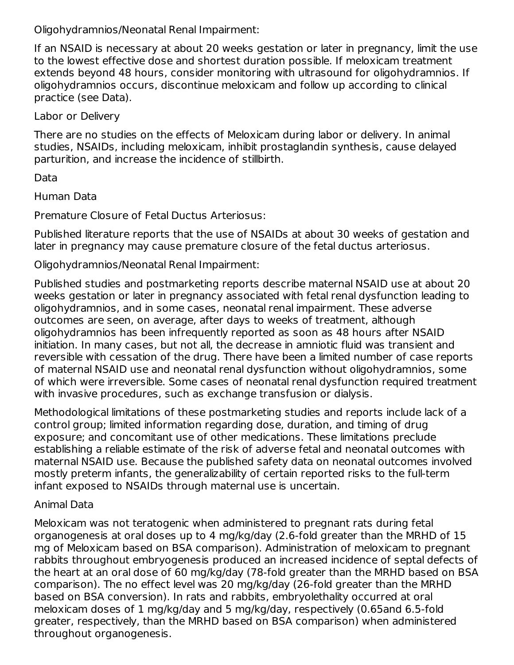Oligohydramnios/Neonatal Renal Impairment:

If an NSAID is necessary at about 20 weeks gestation or later in pregnancy, limit the use to the lowest effective dose and shortest duration possible. If meloxicam treatment extends beyond 48 hours, consider monitoring with ultrasound for oligohydramnios. If oligohydramnios occurs, discontinue meloxicam and follow up according to clinical practice (see Data).

Labor or Delivery

There are no studies on the effects of Meloxicam during labor or delivery. In animal studies, NSAIDs, including meloxicam, inhibit prostaglandin synthesis, cause delayed parturition, and increase the incidence of stillbirth.

Data

Human Data

Premature Closure of Fetal Ductus Arteriosus:

Published literature reports that the use of NSAIDs at about 30 weeks of gestation and later in pregnancy may cause premature closure of the fetal ductus arteriosus.

Oligohydramnios/Neonatal Renal Impairment:

Published studies and postmarketing reports describe maternal NSAID use at about 20 weeks gestation or later in pregnancy associated with fetal renal dysfunction leading to oligohydramnios, and in some cases, neonatal renal impairment. These adverse outcomes are seen, on average, after days to weeks of treatment, although oligohydramnios has been infrequently reported as soon as 48 hours after NSAID initiation. In many cases, but not all, the decrease in amniotic fluid was transient and reversible with cessation of the drug. There have been a limited number of case reports of maternal NSAID use and neonatal renal dysfunction without oligohydramnios, some of which were irreversible. Some cases of neonatal renal dysfunction required treatment with invasive procedures, such as exchange transfusion or dialysis.

Methodological limitations of these postmarketing studies and reports include lack of a control group; limited information regarding dose, duration, and timing of drug exposure; and concomitant use of other medications. These limitations preclude establishing a reliable estimate of the risk of adverse fetal and neonatal outcomes with maternal NSAID use. Because the published safety data on neonatal outcomes involved mostly preterm infants, the generalizability of certain reported risks to the full-term infant exposed to NSAIDs through maternal use is uncertain.

### Animal Data

Meloxicam was not teratogenic when administered to pregnant rats during fetal organogenesis at oral doses up to 4 mg/kg/day (2.6-fold greater than the MRHD of 15 mg of Meloxicam based on BSA comparison). Administration of meloxicam to pregnant rabbits throughout embryogenesis produced an increased incidence of septal defects of the heart at an oral dose of 60 mg/kg/day (78-fold greater than the MRHD based on BSA comparison). The no effect level was 20 mg/kg/day (26-fold greater than the MRHD based on BSA conversion). In rats and rabbits, embryolethality occurred at oral meloxicam doses of 1 mg/kg/day and 5 mg/kg/day, respectively (0.65and 6.5-fold greater, respectively, than the MRHD based on BSA comparison) when administered throughout organogenesis.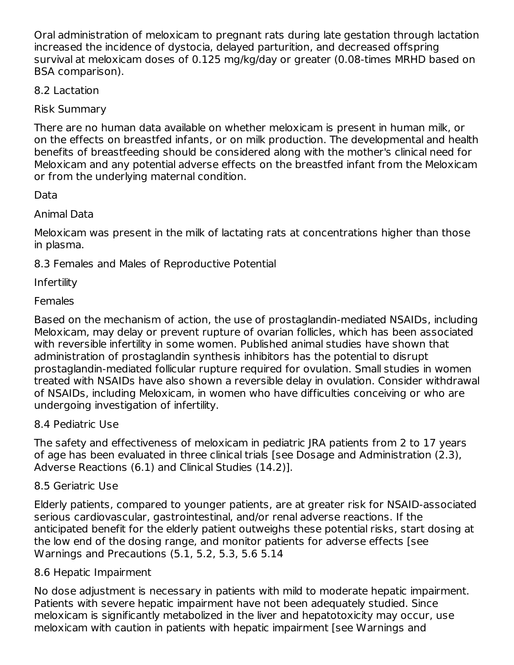Oral administration of meloxicam to pregnant rats during late gestation through lactation increased the incidence of dystocia, delayed parturition, and decreased offspring survival at meloxicam doses of 0.125 mg/kg/day or greater (0.08-times MRHD based on BSA comparison).

8.2 Lactation

Risk Summary

There are no human data available on whether meloxicam is present in human milk, or on the effects on breastfed infants, or on milk production. The developmental and health benefits of breastfeeding should be considered along with the mother's clinical need for Meloxicam and any potential adverse effects on the breastfed infant from the Meloxicam or from the underlying maternal condition.

Data

Animal Data

Meloxicam was present in the milk of lactating rats at concentrations higher than those in plasma.

8.3 Females and Males of Reproductive Potential

Infertility

**Females** 

Based on the mechanism of action, the use of prostaglandin-mediated NSAIDs, including Meloxicam, may delay or prevent rupture of ovarian follicles, which has been associated with reversible infertility in some women. Published animal studies have shown that administration of prostaglandin synthesis inhibitors has the potential to disrupt prostaglandin-mediated follicular rupture required for ovulation. Small studies in women treated with NSAIDs have also shown a reversible delay in ovulation. Consider withdrawal of NSAIDs, including Meloxicam, in women who have difficulties conceiving or who are undergoing investigation of infertility.

8.4 Pediatric Use

The safety and effectiveness of meloxicam in pediatric JRA patients from 2 to 17 years of age has been evaluated in three clinical trials [see Dosage and Administration (2.3), Adverse Reactions (6.1) and Clinical Studies (14.2)].

8.5 Geriatric Use

Elderly patients, compared to younger patients, are at greater risk for NSAID-associated serious cardiovascular, gastrointestinal, and/or renal adverse reactions. If the anticipated benefit for the elderly patient outweighs these potential risks, start dosing at the low end of the dosing range, and monitor patients for adverse effects [see Warnings and Precautions (5.1, 5.2, 5.3, 5.6 5.14

8.6 Hepatic Impairment

No dose adjustment is necessary in patients with mild to moderate hepatic impairment. Patients with severe hepatic impairment have not been adequately studied. Since meloxicam is significantly metabolized in the liver and hepatotoxicity may occur, use meloxicam with caution in patients with hepatic impairment [see Warnings and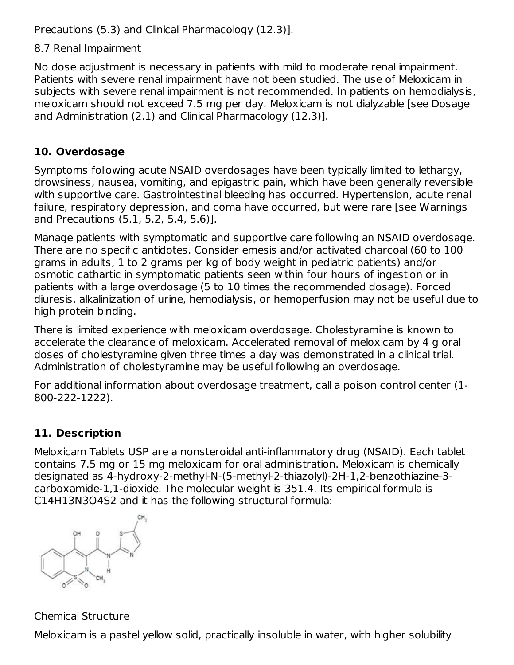Precautions (5.3) and Clinical Pharmacology (12.3)].

8.7 Renal Impairment

No dose adjustment is necessary in patients with mild to moderate renal impairment. Patients with severe renal impairment have not been studied. The use of Meloxicam in subjects with severe renal impairment is not recommended. In patients on hemodialysis, meloxicam should not exceed 7.5 mg per day. Meloxicam is not dialyzable [see Dosage and Administration (2.1) and Clinical Pharmacology (12.3)].

# **10. Overdosage**

Symptoms following acute NSAID overdosages have been typically limited to lethargy, drowsiness, nausea, vomiting, and epigastric pain, which have been generally reversible with supportive care. Gastrointestinal bleeding has occurred. Hypertension, acute renal failure, respiratory depression, and coma have occurred, but were rare [see Warnings and Precautions (5.1, 5.2, 5.4, 5.6)].

Manage patients with symptomatic and supportive care following an NSAID overdosage. There are no specific antidotes. Consider emesis and/or activated charcoal (60 to 100 grams in adults, 1 to 2 grams per kg of body weight in pediatric patients) and/or osmotic cathartic in symptomatic patients seen within four hours of ingestion or in patients with a large overdosage (5 to 10 times the recommended dosage). Forced diuresis, alkalinization of urine, hemodialysis, or hemoperfusion may not be useful due to high protein binding.

There is limited experience with meloxicam overdosage. Cholestyramine is known to accelerate the clearance of meloxicam. Accelerated removal of meloxicam by 4 g oral doses of cholestyramine given three times a day was demonstrated in a clinical trial. Administration of cholestyramine may be useful following an overdosage.

For additional information about overdosage treatment, call a poison control center (1- 800-222-1222).

# **11. Description**

Meloxicam Tablets USP are a nonsteroidal anti-inflammatory drug (NSAID). Each tablet contains 7.5 mg or 15 mg meloxicam for oral administration. Meloxicam is chemically designated as 4-hydroxy-2-methyl-N-(5-methyl-2-thiazolyl)-2H-1,2-benzothiazine-3 carboxamide-1,1-dioxide. The molecular weight is 351.4. Its empirical formula is C14H13N3O4S2 and it has the following structural formula:



Chemical Structure

Meloxicam is a pastel yellow solid, practically insoluble in water, with higher solubility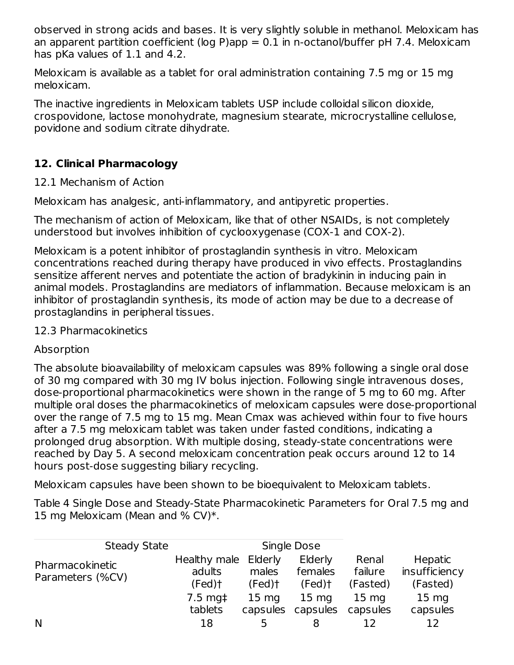observed in strong acids and bases. It is very slightly soluble in methanol. Meloxicam has an apparent partition coefficient (log P)app  $= 0.1$  in n-octanol/buffer pH 7.4. Meloxicam has pKa values of 1.1 and 4.2.

Meloxicam is available as a tablet for oral administration containing 7.5 mg or 15 mg meloxicam.

The inactive ingredients in Meloxicam tablets USP include colloidal silicon dioxide, crospovidone, lactose monohydrate, magnesium stearate, microcrystalline cellulose, povidone and sodium citrate dihydrate.

# **12. Clinical Pharmacology**

### 12.1 Mechanism of Action

Meloxicam has analgesic, anti-inflammatory, and antipyretic properties.

The mechanism of action of Meloxicam, like that of other NSAIDs, is not completely understood but involves inhibition of cyclooxygenase (COX-1 and COX-2).

Meloxicam is a potent inhibitor of prostaglandin synthesis in vitro. Meloxicam concentrations reached during therapy have produced in vivo effects. Prostaglandins sensitize afferent nerves and potentiate the action of bradykinin in inducing pain in animal models. Prostaglandins are mediators of inflammation. Because meloxicam is an inhibitor of prostaglandin synthesis, its mode of action may be due to a decrease of prostaglandins in peripheral tissues.

### 12.3 Pharmacokinetics

## Absorption

The absolute bioavailability of meloxicam capsules was 89% following a single oral dose of 30 mg compared with 30 mg IV bolus injection. Following single intravenous doses, dose-proportional pharmacokinetics were shown in the range of 5 mg to 60 mg. After multiple oral doses the pharmacokinetics of meloxicam capsules were dose-proportional over the range of 7.5 mg to 15 mg. Mean Cmax was achieved within four to five hours after a 7.5 mg meloxicam tablet was taken under fasted conditions, indicating a prolonged drug absorption. With multiple dosing, steady-state concentrations were reached by Day 5. A second meloxicam concentration peak occurs around 12 to 14 hours post-dose suggesting biliary recycling.

Meloxicam capsules have been shown to be bioequivalent to Meloxicam tablets.

Table 4 Single Dose and Steady-State Pharmacokinetic Parameters for Oral 7.5 mg and 15 mg Meloxicam (Mean and % CV)\*.

| <b>Steady State</b>                 |                                          | Single Dose                 |                                 |                              |                                      |
|-------------------------------------|------------------------------------------|-----------------------------|---------------------------------|------------------------------|--------------------------------------|
| Pharmacokinetic<br>Parameters (%CV) | Healthy male Elderly<br>adults<br>(Fed)† | males<br>$(Fed)$ †          | Elderly<br>females<br>$(Fed)$ † | Renal<br>failure<br>(Fasted) | Hepatic<br>insufficiency<br>(Fasted) |
|                                     | $7.5 \text{ mg}$<br>tablets              | $15 \text{ mg}$<br>capsules | $15 \text{ mg}$<br>capsules     | $15 \text{ mg}$<br>capsules  | 15 <sub>mg</sub><br>capsules         |
| N                                   | 18                                       | $\mathbf{A}$                |                                 |                              | 12                                   |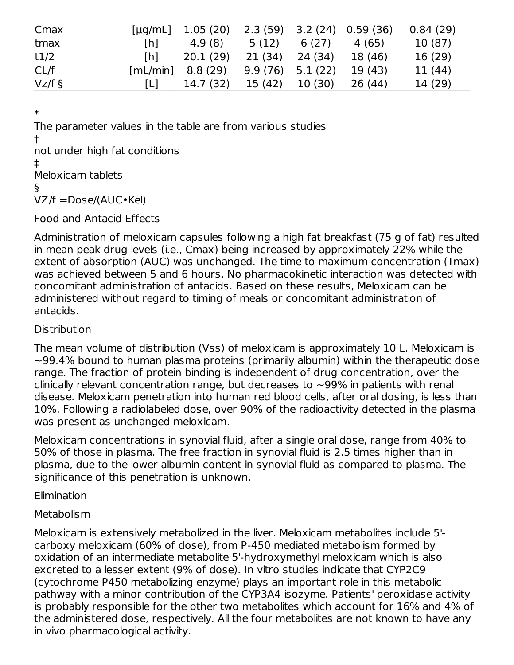| Cmax     | $[\mu q/mL]$        | 1.05 (20) |                    |         | $2.3(59)$ $3.2(24)$ $0.59(36)$ | 0.84(29) |
|----------|---------------------|-----------|--------------------|---------|--------------------------------|----------|
| tmax     | [h]                 | 4.9 (8)   | 5 (12)             | 6(27)   | 4 (65)                         | 10 (87)  |
| t1/2     | Th <sub>1</sub>     | 20.1(29)  | 21 (34)            | 24 (34) | 18 (46)                        | 16 (29)  |
| CL/f     | $[mL/min]$ 8.8 (29) |           | $9.9(76)$ 5.1 (22) |         | 19 (43)                        | 11 (44)  |
| $Vz/f$ § | L.                  | 14.7 (32) | 15 (42)            | 10 (30) | 26 (44)                        | 14 (29)  |

\*

The parameter values in the table are from various studies † not under high fat conditions ‡

Meloxicam tablets

§

VZ/f =Dose/(AUC•Kel)

Food and Antacid Effects

Administration of meloxicam capsules following a high fat breakfast (75 g of fat) resulted in mean peak drug levels (i.e., Cmax) being increased by approximately 22% while the extent of absorption (AUC) was unchanged. The time to maximum concentration (Tmax) was achieved between 5 and 6 hours. No pharmacokinetic interaction was detected with concomitant administration of antacids. Based on these results, Meloxicam can be administered without regard to timing of meals or concomitant administration of antacids.

### **Distribution**

The mean volume of distribution (Vss) of meloxicam is approximately 10 L. Meloxicam is  $\sim$ 99.4% bound to human plasma proteins (primarily albumin) within the therapeutic dose range. The fraction of protein binding is independent of drug concentration, over the clinically relevant concentration range, but decreases to  $\sim$ 99% in patients with renal disease. Meloxicam penetration into human red blood cells, after oral dosing, is less than 10%. Following a radiolabeled dose, over 90% of the radioactivity detected in the plasma was present as unchanged meloxicam.

Meloxicam concentrations in synovial fluid, after a single oral dose, range from 40% to 50% of those in plasma. The free fraction in synovial fluid is 2.5 times higher than in plasma, due to the lower albumin content in synovial fluid as compared to plasma. The significance of this penetration is unknown.

Elimination

## Metabolism

Meloxicam is extensively metabolized in the liver. Meloxicam metabolites include 5' carboxy meloxicam (60% of dose), from P-450 mediated metabolism formed by oxidation of an intermediate metabolite 5'-hydroxymethyl meloxicam which is also excreted to a lesser extent (9% of dose). In vitro studies indicate that CYP2C9 (cytochrome P450 metabolizing enzyme) plays an important role in this metabolic pathway with a minor contribution of the CYP3A4 isozyme. Patients' peroxidase activity is probably responsible for the other two metabolites which account for 16% and 4% of the administered dose, respectively. All the four metabolites are not known to have any in vivo pharmacological activity.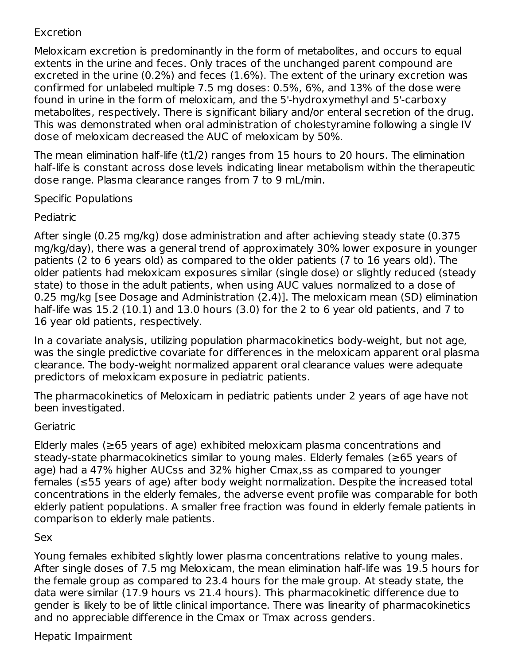### Excretion

Meloxicam excretion is predominantly in the form of metabolites, and occurs to equal extents in the urine and feces. Only traces of the unchanged parent compound are excreted in the urine (0.2%) and feces (1.6%). The extent of the urinary excretion was confirmed for unlabeled multiple 7.5 mg doses: 0.5%, 6%, and 13% of the dose were found in urine in the form of meloxicam, and the 5'-hydroxymethyl and 5'-carboxy metabolites, respectively. There is significant biliary and/or enteral secretion of the drug. This was demonstrated when oral administration of cholestyramine following a single IV dose of meloxicam decreased the AUC of meloxicam by 50%.

The mean elimination half-life (t1/2) ranges from 15 hours to 20 hours. The elimination half-life is constant across dose levels indicating linear metabolism within the therapeutic dose range. Plasma clearance ranges from 7 to 9 mL/min.

### Specific Populations

### Pediatric

After single (0.25 mg/kg) dose administration and after achieving steady state (0.375 mg/kg/day), there was a general trend of approximately 30% lower exposure in younger patients (2 to 6 years old) as compared to the older patients (7 to 16 years old). The older patients had meloxicam exposures similar (single dose) or slightly reduced (steady state) to those in the adult patients, when using AUC values normalized to a dose of 0.25 mg/kg [see Dosage and Administration (2.4)]. The meloxicam mean (SD) elimination half-life was 15.2 (10.1) and 13.0 hours (3.0) for the 2 to 6 year old patients, and 7 to 16 year old patients, respectively.

In a covariate analysis, utilizing population pharmacokinetics body-weight, but not age, was the single predictive covariate for differences in the meloxicam apparent oral plasma clearance. The body-weight normalized apparent oral clearance values were adequate predictors of meloxicam exposure in pediatric patients.

The pharmacokinetics of Meloxicam in pediatric patients under 2 years of age have not been investigated.

### **Geriatric**

Elderly males (≥65 years of age) exhibited meloxicam plasma concentrations and steady-state pharmacokinetics similar to young males. Elderly females (≥65 years of age) had a 47% higher AUCss and 32% higher Cmax,ss as compared to younger females (≤55 years of age) after body weight normalization. Despite the increased total concentrations in the elderly females, the adverse event profile was comparable for both elderly patient populations. A smaller free fraction was found in elderly female patients in comparison to elderly male patients.

### Sex

Young females exhibited slightly lower plasma concentrations relative to young males. After single doses of 7.5 mg Meloxicam, the mean elimination half-life was 19.5 hours for the female group as compared to 23.4 hours for the male group. At steady state, the data were similar (17.9 hours vs 21.4 hours). This pharmacokinetic difference due to gender is likely to be of little clinical importance. There was linearity of pharmacokinetics and no appreciable difference in the Cmax or Tmax across genders.

### Hepatic Impairment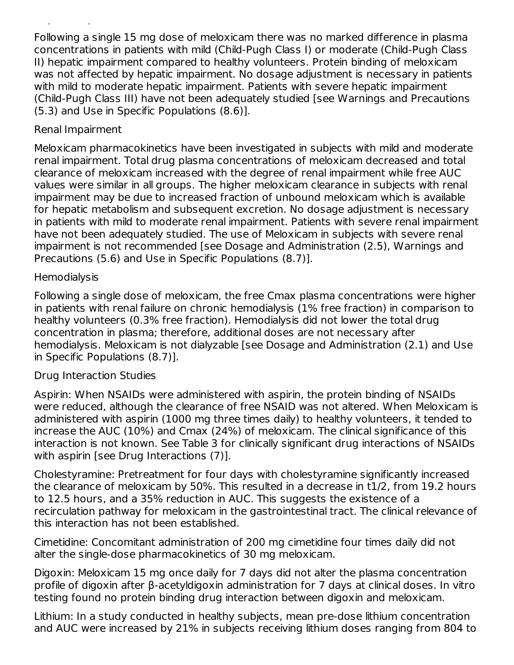Following a single 15 mg dose of meloxicam there was no marked difference in plasma concentrations in patients with mild (Child-Pugh Class I) or moderate (Child-Pugh Class II) hepatic impairment compared to healthy volunteers. Protein binding of meloxicam was not affected by hepatic impairment. No dosage adjustment is necessary in patients with mild to moderate hepatic impairment. Patients with severe hepatic impairment (Child-Pugh Class III) have not been adequately studied [see Warnings and Precautions (5.3) and Use in Specific Populations (8.6)].

### Renal Impairment

Hepatic Impairment

Meloxicam pharmacokinetics have been investigated in subjects with mild and moderate renal impairment. Total drug plasma concentrations of meloxicam decreased and total clearance of meloxicam increased with the degree of renal impairment while free AUC values were similar in all groups. The higher meloxicam clearance in subjects with renal impairment may be due to increased fraction of unbound meloxicam which is available for hepatic metabolism and subsequent excretion. No dosage adjustment is necessary in patients with mild to moderate renal impairment. Patients with severe renal impairment have not been adequately studied. The use of Meloxicam in subjects with severe renal impairment is not recommended [see Dosage and Administration (2.5), Warnings and Precautions (5.6) and Use in Specific Populations (8.7)].

### **Hemodialysis**

Following a single dose of meloxicam, the free Cmax plasma concentrations were higher in patients with renal failure on chronic hemodialysis (1% free fraction) in comparison to healthy volunteers (0.3% free fraction). Hemodialysis did not lower the total drug concentration in plasma; therefore, additional doses are not necessary after hemodialysis. Meloxicam is not dialyzable [see Dosage and Administration (2.1) and Use in Specific Populations (8.7)].

### Drug Interaction Studies

Aspirin: When NSAIDs were administered with aspirin, the protein binding of NSAIDs were reduced, although the clearance of free NSAID was not altered. When Meloxicam is administered with aspirin (1000 mg three times daily) to healthy volunteers, it tended to increase the AUC (10%) and Cmax (24%) of meloxicam. The clinical significance of this interaction is not known. See Table 3 for clinically significant drug interactions of NSAIDs with aspirin [see Drug Interactions (7)].

Cholestyramine: Pretreatment for four days with cholestyramine significantly increased the clearance of meloxicam by 50%. This resulted in a decrease in t1/2, from 19.2 hours to 12.5 hours, and a 35% reduction in AUC. This suggests the existence of a recirculation pathway for meloxicam in the gastrointestinal tract. The clinical relevance of this interaction has not been established.

Cimetidine: Concomitant administration of 200 mg cimetidine four times daily did not alter the single-dose pharmacokinetics of 30 mg meloxicam.

Digoxin: Meloxicam 15 mg once daily for 7 days did not alter the plasma concentration profile of digoxin after β-acetyldigoxin administration for 7 days at clinical doses. In vitro testing found no protein binding drug interaction between digoxin and meloxicam.

Lithium: In a study conducted in healthy subjects, mean pre-dose lithium concentration and AUC were increased by 21% in subjects receiving lithium doses ranging from 804 to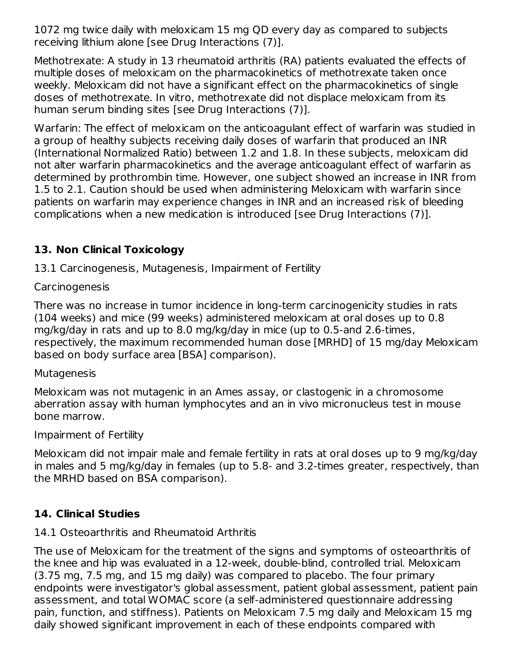1072 mg twice daily with meloxicam 15 mg QD every day as compared to subjects receiving lithium alone [see Drug Interactions (7)].

Methotrexate: A study in 13 rheumatoid arthritis (RA) patients evaluated the effects of multiple doses of meloxicam on the pharmacokinetics of methotrexate taken once weekly. Meloxicam did not have a significant effect on the pharmacokinetics of single doses of methotrexate. In vitro, methotrexate did not displace meloxicam from its human serum binding sites [see Drug Interactions (7)].

Warfarin: The effect of meloxicam on the anticoagulant effect of warfarin was studied in a group of healthy subjects receiving daily doses of warfarin that produced an INR (International Normalized Ratio) between 1.2 and 1.8. In these subjects, meloxicam did not alter warfarin pharmacokinetics and the average anticoagulant effect of warfarin as determined by prothrombin time. However, one subject showed an increase in INR from 1.5 to 2.1. Caution should be used when administering Meloxicam with warfarin since patients on warfarin may experience changes in INR and an increased risk of bleeding complications when a new medication is introduced [see Drug Interactions (7)].

# **13. Non Clinical Toxicology**

13.1 Carcinogenesis, Mutagenesis, Impairment of Fertility

### **Carcinogenesis**

There was no increase in tumor incidence in long-term carcinogenicity studies in rats (104 weeks) and mice (99 weeks) administered meloxicam at oral doses up to 0.8 mg/kg/day in rats and up to 8.0 mg/kg/day in mice (up to 0.5-and 2.6-times, respectively, the maximum recommended human dose [MRHD] of 15 mg/day Meloxicam based on body surface area [BSA] comparison).

### **Mutagenesis**

Meloxicam was not mutagenic in an Ames assay, or clastogenic in a chromosome aberration assay with human lymphocytes and an in vivo micronucleus test in mouse bone marrow.

## Impairment of Fertility

Meloxicam did not impair male and female fertility in rats at oral doses up to 9 mg/kg/day in males and 5 mg/kg/day in females (up to 5.8- and 3.2-times greater, respectively, than the MRHD based on BSA comparison).

# **14. Clinical Studies**

# 14.1 Osteoarthritis and Rheumatoid Arthritis

The use of Meloxicam for the treatment of the signs and symptoms of osteoarthritis of the knee and hip was evaluated in a 12-week, double-blind, controlled trial. Meloxicam (3.75 mg, 7.5 mg, and 15 mg daily) was compared to placebo. The four primary endpoints were investigator's global assessment, patient global assessment, patient pain assessment, and total WOMAC score (a self-administered questionnaire addressing pain, function, and stiffness). Patients on Meloxicam 7.5 mg daily and Meloxicam 15 mg daily showed significant improvement in each of these endpoints compared with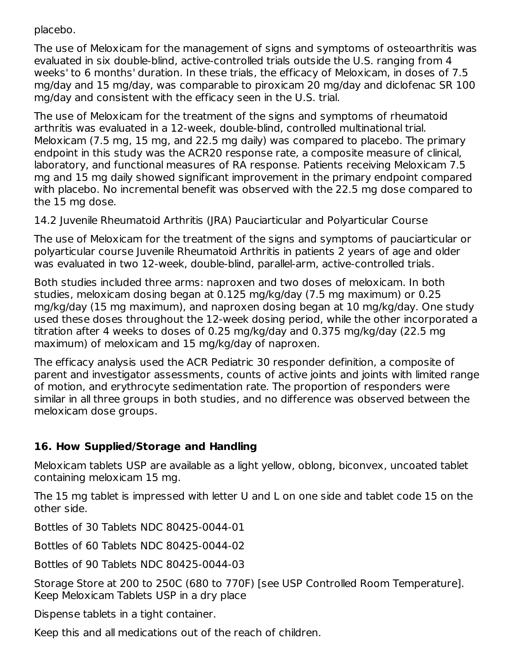placebo.

The use of Meloxicam for the management of signs and symptoms of osteoarthritis was evaluated in six double-blind, active-controlled trials outside the U.S. ranging from 4 weeks' to 6 months' duration. In these trials, the efficacy of Meloxicam, in doses of 7.5 mg/day and 15 mg/day, was comparable to piroxicam 20 mg/day and diclofenac SR 100 mg/day and consistent with the efficacy seen in the U.S. trial.

The use of Meloxicam for the treatment of the signs and symptoms of rheumatoid arthritis was evaluated in a 12-week, double-blind, controlled multinational trial. Meloxicam (7.5 mg, 15 mg, and 22.5 mg daily) was compared to placebo. The primary endpoint in this study was the ACR20 response rate, a composite measure of clinical, laboratory, and functional measures of RA response. Patients receiving Meloxicam 7.5 mg and 15 mg daily showed significant improvement in the primary endpoint compared with placebo. No incremental benefit was observed with the 22.5 mg dose compared to the 15 mg dose.

14.2 Juvenile Rheumatoid Arthritis (JRA) Pauciarticular and Polyarticular Course

The use of Meloxicam for the treatment of the signs and symptoms of pauciarticular or polyarticular course Juvenile Rheumatoid Arthritis in patients 2 years of age and older was evaluated in two 12-week, double-blind, parallel-arm, active-controlled trials.

Both studies included three arms: naproxen and two doses of meloxicam. In both studies, meloxicam dosing began at 0.125 mg/kg/day (7.5 mg maximum) or 0.25 mg/kg/day (15 mg maximum), and naproxen dosing began at 10 mg/kg/day. One study used these doses throughout the 12-week dosing period, while the other incorporated a titration after 4 weeks to doses of 0.25 mg/kg/day and 0.375 mg/kg/day (22.5 mg maximum) of meloxicam and 15 mg/kg/day of naproxen.

The efficacy analysis used the ACR Pediatric 30 responder definition, a composite of parent and investigator assessments, counts of active joints and joints with limited range of motion, and erythrocyte sedimentation rate. The proportion of responders were similar in all three groups in both studies, and no difference was observed between the meloxicam dose groups.

## **16. How Supplied/Storage and Handling**

Meloxicam tablets USP are available as a light yellow, oblong, biconvex, uncoated tablet containing meloxicam 15 mg.

The 15 mg tablet is impressed with letter U and L on one side and tablet code 15 on the other side.

Bottles of 30 Tablets NDC 80425-0044-01

Bottles of 60 Tablets NDC 80425-0044-02

Bottles of 90 Tablets NDC 80425-0044-03

Storage Store at 200 to 250C (680 to 770F) [see USP Controlled Room Temperature]. Keep Meloxicam Tablets USP in a dry place

Dispense tablets in a tight container.

Keep this and all medications out of the reach of children.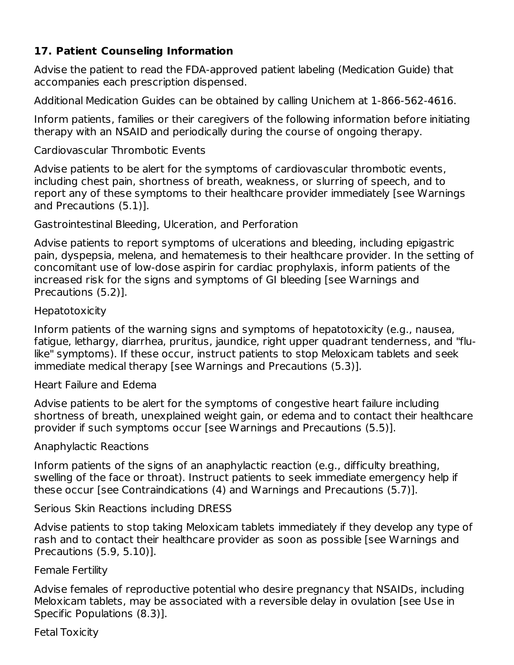## **17. Patient Counseling Information**

Advise the patient to read the FDA-approved patient labeling (Medication Guide) that accompanies each prescription dispensed.

Additional Medication Guides can be obtained by calling Unichem at 1-866-562-4616.

Inform patients, families or their caregivers of the following information before initiating therapy with an NSAID and periodically during the course of ongoing therapy.

Cardiovascular Thrombotic Events

Advise patients to be alert for the symptoms of cardiovascular thrombotic events, including chest pain, shortness of breath, weakness, or slurring of speech, and to report any of these symptoms to their healthcare provider immediately [see Warnings and Precautions (5.1)].

Gastrointestinal Bleeding, Ulceration, and Perforation

Advise patients to report symptoms of ulcerations and bleeding, including epigastric pain, dyspepsia, melena, and hematemesis to their healthcare provider. In the setting of concomitant use of low-dose aspirin for cardiac prophylaxis, inform patients of the increased risk for the signs and symptoms of GI bleeding [see Warnings and Precautions (5.2)].

#### **Hepatotoxicity**

Inform patients of the warning signs and symptoms of hepatotoxicity (e.g., nausea, fatigue, lethargy, diarrhea, pruritus, jaundice, right upper quadrant tenderness, and "flulike" symptoms). If these occur, instruct patients to stop Meloxicam tablets and seek immediate medical therapy [see Warnings and Precautions (5.3)].

Heart Failure and Edema

Advise patients to be alert for the symptoms of congestive heart failure including shortness of breath, unexplained weight gain, or edema and to contact their healthcare provider if such symptoms occur [see Warnings and Precautions (5.5)].

Anaphylactic Reactions

Inform patients of the signs of an anaphylactic reaction (e.g., difficulty breathing, swelling of the face or throat). Instruct patients to seek immediate emergency help if these occur [see Contraindications (4) and Warnings and Precautions (5.7)].

Serious Skin Reactions including DRESS

Advise patients to stop taking Meloxicam tablets immediately if they develop any type of rash and to contact their healthcare provider as soon as possible [see Warnings and Precautions (5.9, 5.10)].

#### Female Fertility

Advise females of reproductive potential who desire pregnancy that NSAIDs, including Meloxicam tablets, may be associated with a reversible delay in ovulation [see Use in Specific Populations (8.3)].

Fetal Toxicity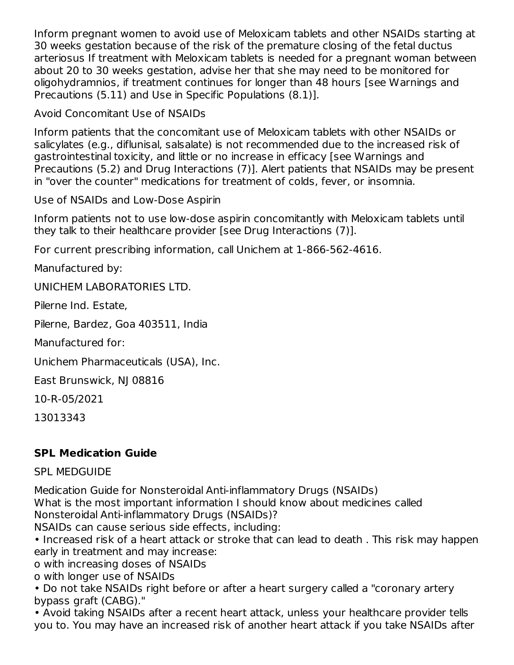Inform pregnant women to avoid use of Meloxicam tablets and other NSAIDs starting at 30 weeks gestation because of the risk of the premature closing of the fetal ductus arteriosus If treatment with Meloxicam tablets is needed for a pregnant woman between about 20 to 30 weeks gestation, advise her that she may need to be monitored for oligohydramnios, if treatment continues for longer than 48 hours [see Warnings and Precautions (5.11) and Use in Specific Populations (8.1)].

Avoid Concomitant Use of NSAIDs

Inform patients that the concomitant use of Meloxicam tablets with other NSAIDs or salicylates (e.g., diflunisal, salsalate) is not recommended due to the increased risk of gastrointestinal toxicity, and little or no increase in efficacy [see Warnings and Precautions (5.2) and Drug Interactions (7)]. Alert patients that NSAIDs may be present in "over the counter" medications for treatment of colds, fever, or insomnia.

Use of NSAIDs and Low-Dose Aspirin

Inform patients not to use low-dose aspirin concomitantly with Meloxicam tablets until they talk to their healthcare provider [see Drug Interactions (7)].

For current prescribing information, call Unichem at 1-866-562-4616.

Manufactured by:

UNICHEM LABORATORIES LTD.

Pilerne Ind. Estate,

Pilerne, Bardez, Goa 403511, India

Manufactured for:

Unichem Pharmaceuticals (USA), Inc.

East Brunswick, NJ 08816

10-R-05/2021

13013343

## **SPL Medication Guide**

## SPL MEDGUIDE

Medication Guide for Nonsteroidal Anti-inflammatory Drugs (NSAIDs)

What is the most important information I should know about medicines called Nonsteroidal Anti-inflammatory Drugs (NSAIDs)?

NSAIDs can cause serious side effects, including:

• Increased risk of a heart attack or stroke that can lead to death . This risk may happen early in treatment and may increase:

o with increasing doses of NSAIDs

o with longer use of NSAIDs

• Do not take NSAIDs right before or after a heart surgery called a "coronary artery bypass graft (CABG)."

• Avoid taking NSAIDs after a recent heart attack, unless your healthcare provider tells you to. You may have an increased risk of another heart attack if you take NSAIDs after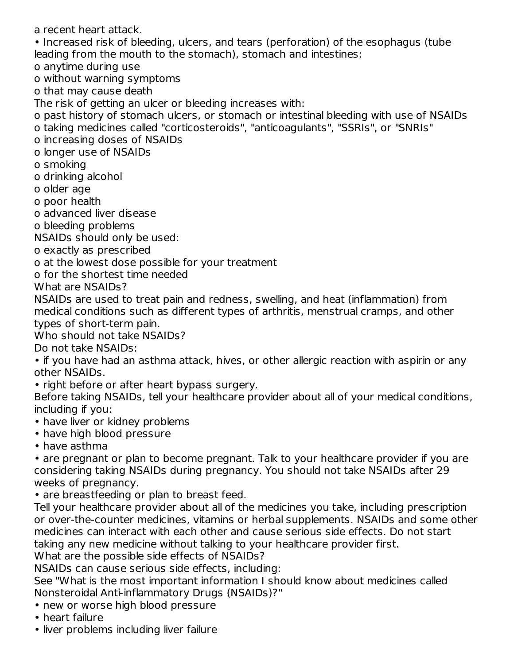a recent heart attack.

• Increased risk of bleeding, ulcers, and tears (perforation) of the esophagus (tube leading from the mouth to the stomach), stomach and intestines:

o anytime during use

o without warning symptoms

o that may cause death

The risk of getting an ulcer or bleeding increases with:

o past history of stomach ulcers, or stomach or intestinal bleeding with use of NSAIDs

o taking medicines called "corticosteroids", "anticoagulants", "SSRIs", or "SNRIs"

o increasing doses of NSAIDs

o longer use of NSAIDs

o smoking

o drinking alcohol

o older age

o poor health

o advanced liver disease

o bleeding problems

NSAIDs should only be used:

o exactly as prescribed

o at the lowest dose possible for your treatment

o for the shortest time needed

What are NSAIDs?

NSAIDs are used to treat pain and redness, swelling, and heat (inflammation) from medical conditions such as different types of arthritis, menstrual cramps, and other types of short-term pain.

Who should not take NSAIDs?

Do not take NSAIDs:

• if you have had an asthma attack, hives, or other allergic reaction with aspirin or any other NSAIDs.

• right before or after heart bypass surgery.

Before taking NSAIDs, tell your healthcare provider about all of your medical conditions, including if you:

- have liver or kidney problems
- have high blood pressure
- have asthma

• are pregnant or plan to become pregnant. Talk to your healthcare provider if you are considering taking NSAIDs during pregnancy. You should not take NSAIDs after 29 weeks of pregnancy.

• are breastfeeding or plan to breast feed.

Tell your healthcare provider about all of the medicines you take, including prescription or over-the-counter medicines, vitamins or herbal supplements. NSAIDs and some other medicines can interact with each other and cause serious side effects. Do not start taking any new medicine without talking to your healthcare provider first.

What are the possible side effects of NSAIDs?

NSAIDs can cause serious side effects, including:

See "What is the most important information I should know about medicines called Nonsteroidal Anti-inflammatory Drugs (NSAIDs)?"

- new or worse high blood pressure
- heart failure
- liver problems including liver failure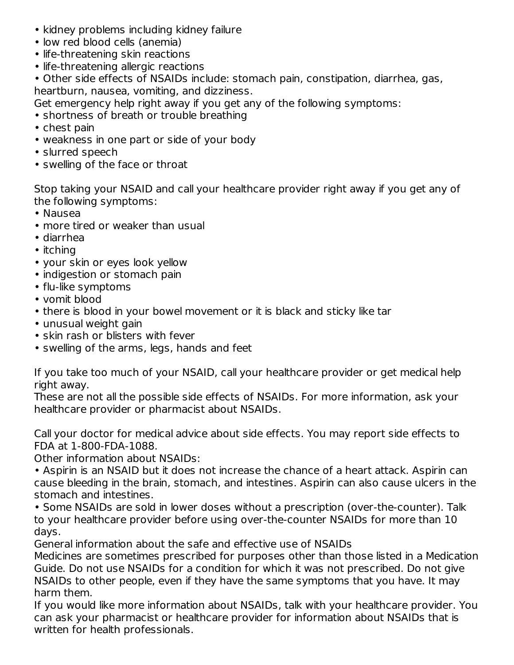- kidney problems including kidney failure
- low red blood cells (anemia)
- life-threatening skin reactions
- life-threatening allergic reactions

• Other side effects of NSAIDs include: stomach pain, constipation, diarrhea, gas, heartburn, nausea, vomiting, and dizziness.

Get emergency help right away if you get any of the following symptoms:

- shortness of breath or trouble breathing
- chest pain
- weakness in one part or side of your body
- slurred speech
- swelling of the face or throat

Stop taking your NSAID and call your healthcare provider right away if you get any of the following symptoms:

- Nausea
- more tired or weaker than usual
- diarrhea
- itching
- your skin or eyes look yellow
- indigestion or stomach pain
- flu-like symptoms
- vomit blood
- there is blood in your bowel movement or it is black and sticky like tar
- unusual weight gain
- skin rash or blisters with fever
- swelling of the arms, legs, hands and feet

If you take too much of your NSAID, call your healthcare provider or get medical help right away.

These are not all the possible side effects of NSAIDs. For more information, ask your healthcare provider or pharmacist about NSAIDs.

Call your doctor for medical advice about side effects. You may report side effects to FDA at 1-800-FDA-1088.

Other information about NSAIDs:

• Aspirin is an NSAID but it does not increase the chance of a heart attack. Aspirin can cause bleeding in the brain, stomach, and intestines. Aspirin can also cause ulcers in the stomach and intestines.

• Some NSAIDs are sold in lower doses without a prescription (over-the-counter). Talk to your healthcare provider before using over-the-counter NSAIDs for more than 10 days.

General information about the safe and effective use of NSAIDs

Medicines are sometimes prescribed for purposes other than those listed in a Medication Guide. Do not use NSAIDs for a condition for which it was not prescribed. Do not give NSAIDs to other people, even if they have the same symptoms that you have. It may harm them.

If you would like more information about NSAIDs, talk with your healthcare provider. You can ask your pharmacist or healthcare provider for information about NSAIDs that is written for health professionals.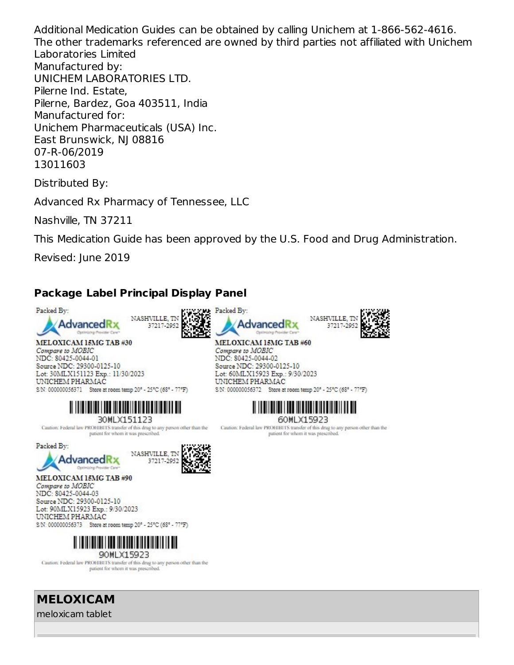Additional Medication Guides can be obtained by calling Unichem at 1-866-562-4616. The other trademarks referenced are owned by third parties not affiliated with Unichem Laboratories Limited Manufactured by: UNICHEM LABORATORIES LTD. Pilerne Ind. Estate, Pilerne, Bardez, Goa 403511, India Manufactured for: Unichem Pharmaceuticals (USA) Inc. East Brunswick, NJ 08816 07-R-06/2019 13011603

Distributed By:

Advanced Rx Pharmacy of Tennessee, LLC

Nashville, TN 37211

This Medication Guide has been approved by the U.S. Food and Drug Administration.

Revised: June 2019

# **Package Label Principal Display Panel**



UNICHEM PHARMAC S/N: 000000056373 Store at room temp 20° - 25°C (68° - 77°F)



Caution: Federal law PROHIBITS transfer of this drug to any person other than the patient for whom it was prescribed.

**MELOXICAM** meloxicam tablet